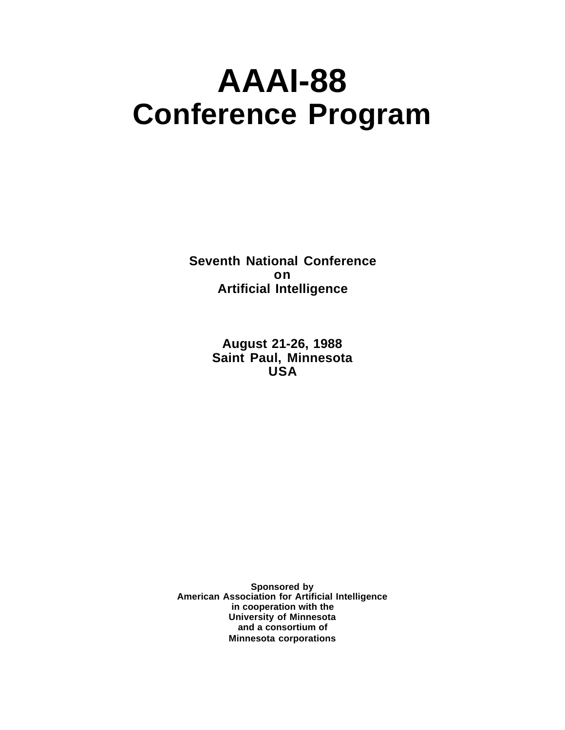# **AAAI-88 Conference Program**

**Seventh National Conference on Artificial Intelligence**

> **August 21-26, 1988 Saint Paul, Minnesota USA**

**Sponsored by American Association for Artificial Intelligence in cooperation with the University of Minnesota and a consortium of Minnesota corporations**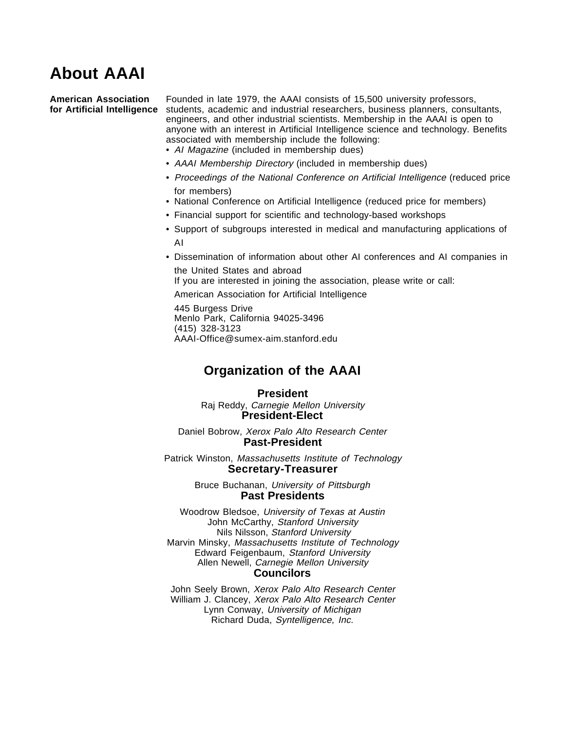# **About AAAI**

**American Association** Founded in late 1979, the AAAI consists of 15,500 university professors, **for Artificial Intelligence** students, academic and industrial researchers, business planners, consultants, engineers, and other industrial scientists. Membership in the AAAI is open to anyone with an interest in Artificial Intelligence science and technology. Benefits associated with membership include the following:

- Al Magazine (included in membership dues)
- AAAI Membership Directory (included in membership dues)
- Proceedings of the National Conference on Artificial Intelligence (reduced price for members)
- National Conference on Artificial Intelligence (reduced price for members)
- Financial support for scientific and technology-based workshops
- Support of subgroups interested in medical and manufacturing applications of AI
- Dissemination of information about other AI conferences and AI companies in the United States and abroad

If you are interested in joining the association, please write or call:

American Association for Artificial Intelligence

445 Burgess Drive Menlo Park, California 94025-3496 (415) 328-3123 AAAI-Office@sumex-aim.stanford.edu

# **Organization of the AAAI**

### **President**

Raj Reddy, Carnegie Mellon University **President-Elect**

Daniel Bobrow, Xerox Palo Alto Research Center **Past-President**

Patrick Winston, Massachusetts Institute of Technology **Secretary-Treasurer**

> Bruce Buchanan, University of Pittsburgh **Past Presidents**

Woodrow Bledsoe, University of Texas at Austin John McCarthy, Stanford University Nils Nilsson, Stanford University Marvin Minsky, Massachusetts Institute of Technology Edward Feigenbaum, Stanford University Allen Newell, Carnegie Mellon University **Councilors**

John Seely Brown, Xerox Palo Alto Research Center William J. Clancey, Xerox Palo Alto Research Center Lynn Conway, University of Michigan Richard Duda, Syntelligence, Inc.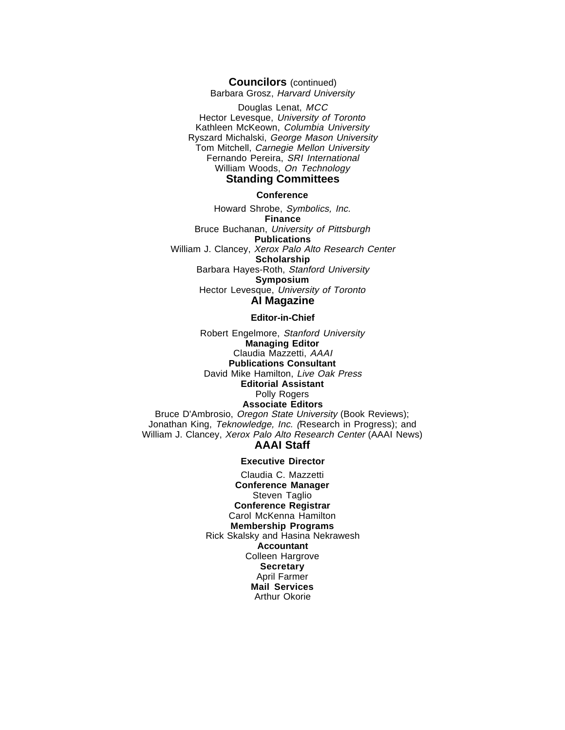### **Councilors** (continued)

Barbara Grosz, Harvard University

Douglas Lenat, MCC Hector Levesque, University of Toronto Kathleen McKeown, Columbia University Ryszard Michalski, George Mason University Tom Mitchell, Carnegie Mellon University Fernando Pereira, SRI International William Woods, On Technology **Standing Committees**

### **Conference**

Howard Shrobe, Symbolics, Inc. **Finance** Bruce Buchanan, University of Pittsburgh **Publications** William J. Clancey, Xerox Palo Alto Research Center **Scholarship** Barbara Hayes-Roth, Stanford University **Symposium** Hector Levesque, University of Toronto **AI Magazine**

### **Editor-in-Chief**

Robert Engelmore, Stanford University **Managing Editor** Claudia Mazzetti, AAAI **Publications Consultant** David Mike Hamilton, Live Oak Press **Editorial Assistant** Polly Rogers **Associate Editors** Bruce D'Ambrosio, Oregon State University (Book Reviews); Jonathan King, Teknowledge, Inc. (Research in Progress); and William J. Clancey, Xerox Palo Alto Research Center (AAAI News) **AAAI Staff**

### **Executive Director**

Claudia C. Mazzetti **Conference Manager** Steven Taglio **Conference Registrar** Carol McKenna Hamilton **Membership Programs** Rick Skalsky and Hasina Nekrawesh **Accountant** Colleen Hargrove **Secretary** April Farmer **Mail Services** Arthur Okorie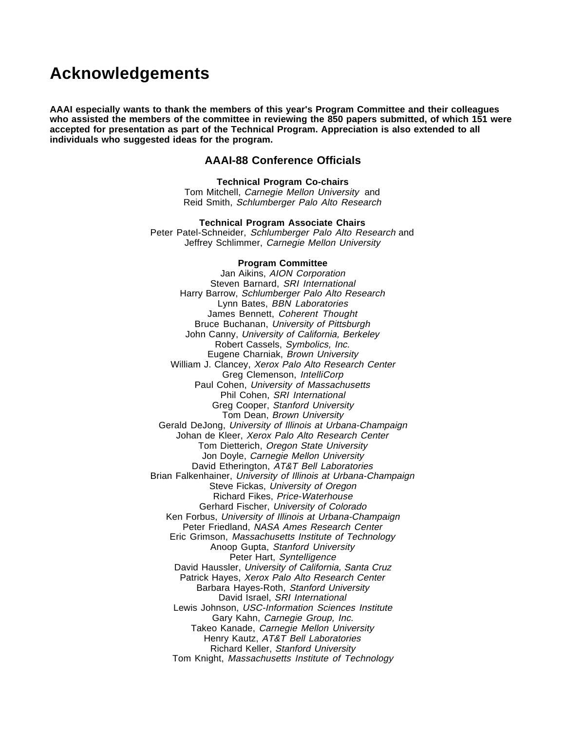# **Acknowledgements**

**AAAI especially wants to thank the members of this year's Program Committee and their colleagues who assisted the members of the committee in reviewing the 850 papers submitted, of which 151 were accepted for presentation as part of the Technical Program. Appreciation is also extended to all individuals who suggested ideas for the program.**

### **AAAI-88 Conference Officials**

**Technical Program Co-chairs** Tom Mitchell, Carnegie Mellon University and Reid Smith, Schlumberger Palo Alto Research

**Technical Program Associate Chairs** Peter Patel-Schneider, Schlumberger Palo Alto Research and Jeffrey Schlimmer, Carnegie Mellon University

### **Program Committee**

Jan Aikins, AION Corporation Steven Barnard, SRI International Harry Barrow, Schlumberger Palo Alto Research Lynn Bates, BBN Laboratories James Bennett, Coherent Thought Bruce Buchanan, University of Pittsburgh John Canny, University of California, Berkeley Robert Cassels, Symbolics, Inc. Eugene Charniak, Brown University William J. Clancey, Xerox Palo Alto Research Center Greg Clemenson, IntelliCorp Paul Cohen, University of Massachusetts Phil Cohen, SRI International Greg Cooper, Stanford University Tom Dean, Brown University Gerald DeJong, University of Illinois at Urbana-Champaign Johan de Kleer, Xerox Palo Alto Research Center Tom Dietterich, Oregon State University Jon Doyle, Carnegie Mellon University David Etherington, AT&T Bell Laboratories Brian Falkenhainer, University of Illinois at Urbana-Champaign Steve Fickas, University of Oregon Richard Fikes, Price-Waterhouse Gerhard Fischer, University of Colorado Ken Forbus, University of Illinois at Urbana-Champaign Peter Friedland, NASA Ames Research Center Eric Grimson, Massachusetts Institute of Technology Anoop Gupta, Stanford University Peter Hart, Syntelligence David Haussler, University of California, Santa Cruz Patrick Hayes, Xerox Palo Alto Research Center Barbara Hayes-Roth, Stanford University David Israel, SRI International Lewis Johnson, USC-Information Sciences Institute Gary Kahn, Carnegie Group, Inc. Takeo Kanade, Carnegie Mellon University Henry Kautz, AT&T Bell Laboratories Richard Keller, Stanford University Tom Knight, Massachusetts Institute of Technology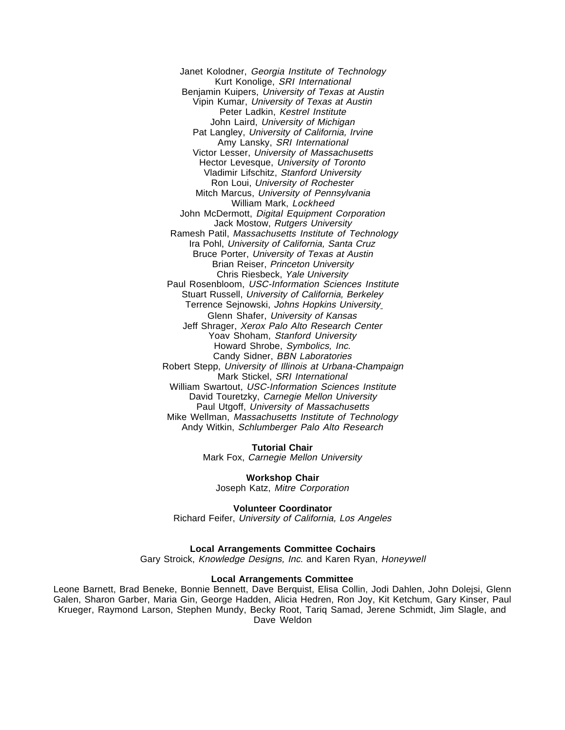Janet Kolodner, Georgia Institute of Technology Kurt Konolige, SRI International Benjamin Kuipers, University of Texas at Austin Vipin Kumar, University of Texas at Austin Peter Ladkin, Kestrel Institute John Laird, University of Michigan Pat Langley, University of California, Irvine Amy Lansky, SRI International Victor Lesser, University of Massachusetts Hector Levesque, University of Toronto Vladimir Lifschitz, Stanford University Ron Loui, University of Rochester Mitch Marcus, University of Pennsylvania William Mark, Lockheed John McDermott, Digital Equipment Corporation Jack Mostow, Rutgers University Ramesh Patil, Massachusetts Institute of Technology Ira Pohl, University of California, Santa Cruz Bruce Porter, University of Texas at Austin **Brian Reiser, Princeton University** Chris Riesbeck, Yale University Paul Rosenbloom, USC-Information Sciences Institute Stuart Russell, University of California, Berkeley Terrence Sejnowski, Johns Hopkins University Glenn Shafer, University of Kansas Jeff Shrager, Xerox Palo Alto Research Center Yoav Shoham, Stanford University Howard Shrobe, Symbolics, Inc. Candy Sidner, BBN Laboratories Robert Stepp, University of Illinois at Urbana-Champaign Mark Stickel, SRI International William Swartout, USC-Information Sciences Institute David Touretzky, Carnegie Mellon University Paul Utgoff, University of Massachusetts Mike Wellman, Massachusetts Institute of Technology Andy Witkin, Schlumberger Palo Alto Research

> **Tutorial Chair** Mark Fox, Carnegie Mellon University

**Workshop Chair** Joseph Katz, Mitre Corporation

**Volunteer Coordinator** Richard Feifer, University of California, Los Angeles

**Local Arrangements Committee Cochairs**

Gary Stroick, Knowledge Designs, Inc. and Karen Ryan, Honeywell

### **Local Arrangements Committee**

Leone Barnett, Brad Beneke, Bonnie Bennett, Dave Berquist, Elisa Collin, Jodi Dahlen, John Dolejsi, Glenn Galen, Sharon Garber, Maria Gin, George Hadden, Alicia Hedren, Ron Joy, Kit Ketchum, Gary Kinser, Paul Krueger, Raymond Larson, Stephen Mundy, Becky Root, Tariq Samad, Jerene Schmidt, Jim Slagle, and Dave Weldon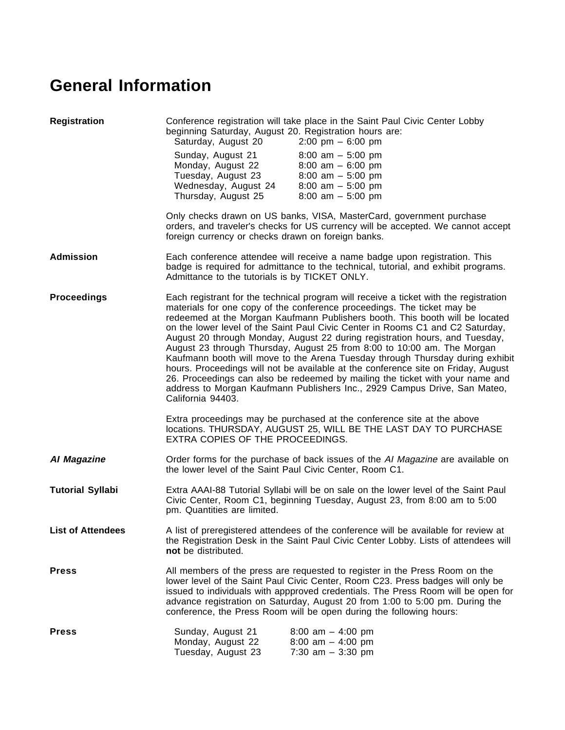# **General Information**

| <b>Registration</b>      | Conference registration will take place in the Saint Paul Civic Center Lobby<br>beginning Saturday, August 20. Registration hours are:<br>Saturday, August 20<br>2:00 pm $-6:00$ pm                                                                                                                                                                                                                                                                                                                                                                                                                                                                                                                                                                                                                                                                   |                                                                                                                                                                            |
|--------------------------|-------------------------------------------------------------------------------------------------------------------------------------------------------------------------------------------------------------------------------------------------------------------------------------------------------------------------------------------------------------------------------------------------------------------------------------------------------------------------------------------------------------------------------------------------------------------------------------------------------------------------------------------------------------------------------------------------------------------------------------------------------------------------------------------------------------------------------------------------------|----------------------------------------------------------------------------------------------------------------------------------------------------------------------------|
|                          | Sunday, August 21<br>Monday, August 22<br>Tuesday, August 23<br>Wednesday, August 24<br>Thursday, August 25                                                                                                                                                                                                                                                                                                                                                                                                                                                                                                                                                                                                                                                                                                                                           | $8:00$ am $-5:00$ pm<br>$8:00$ am $-6:00$ pm<br>$8:00$ am $-5:00$ pm<br>$8:00$ am $-5:00$ pm<br>$8:00$ am $-5:00$ pm                                                       |
|                          | foreign currency or checks drawn on foreign banks.                                                                                                                                                                                                                                                                                                                                                                                                                                                                                                                                                                                                                                                                                                                                                                                                    | Only checks drawn on US banks, VISA, MasterCard, government purchase<br>orders, and traveler's checks for US currency will be accepted. We cannot accept                   |
| <b>Admission</b>         | Admittance to the tutorials is by TICKET ONLY.                                                                                                                                                                                                                                                                                                                                                                                                                                                                                                                                                                                                                                                                                                                                                                                                        | Each conference attendee will receive a name badge upon registration. This<br>badge is required for admittance to the technical, tutorial, and exhibit programs.           |
| <b>Proceedings</b>       | Each registrant for the technical program will receive a ticket with the registration<br>materials for one copy of the conference proceedings. The ticket may be<br>redeemed at the Morgan Kaufmann Publishers booth. This booth will be located<br>on the lower level of the Saint Paul Civic Center in Rooms C1 and C2 Saturday,<br>August 20 through Monday, August 22 during registration hours, and Tuesday,<br>August 23 through Thursday, August 25 from 8:00 to 10:00 am. The Morgan<br>Kaufmann booth will move to the Arena Tuesday through Thursday during exhibit<br>hours. Proceedings will not be available at the conference site on Friday, August<br>26. Proceedings can also be redeemed by mailing the ticket with your name and<br>address to Morgan Kaufmann Publishers Inc., 2929 Campus Drive, San Mateo,<br>California 94403. |                                                                                                                                                                            |
|                          | EXTRA COPIES OF THE PROCEEDINGS.                                                                                                                                                                                                                                                                                                                                                                                                                                                                                                                                                                                                                                                                                                                                                                                                                      | Extra proceedings may be purchased at the conference site at the above<br>locations. THURSDAY, AUGUST 25, WILL BE THE LAST DAY TO PURCHASE                                 |
| Al Magazine              | the lower level of the Saint Paul Civic Center, Room C1.                                                                                                                                                                                                                                                                                                                                                                                                                                                                                                                                                                                                                                                                                                                                                                                              | Order forms for the purchase of back issues of the AI Magazine are available on                                                                                            |
| <b>Tutorial Syllabi</b>  | pm. Quantities are limited.                                                                                                                                                                                                                                                                                                                                                                                                                                                                                                                                                                                                                                                                                                                                                                                                                           | Extra AAAI-88 Tutorial Syllabi will be on sale on the lower level of the Saint Paul<br>Civic Center, Room C1, beginning Tuesday, August 23, from 8:00 am to 5:00           |
| <b>List of Attendees</b> | not be distributed.                                                                                                                                                                                                                                                                                                                                                                                                                                                                                                                                                                                                                                                                                                                                                                                                                                   | A list of preregistered attendees of the conference will be available for review at<br>the Registration Desk in the Saint Paul Civic Center Lobby. Lists of attendees will |
| <b>Press</b>             | All members of the press are requested to register in the Press Room on the<br>lower level of the Saint Paul Civic Center, Room C23. Press badges will only be<br>issued to individuals with appproved credentials. The Press Room will be open for<br>advance registration on Saturday, August 20 from 1:00 to 5:00 pm. During the<br>conference, the Press Room will be open during the following hours:                                                                                                                                                                                                                                                                                                                                                                                                                                            |                                                                                                                                                                            |
| <b>Press</b>             | Sunday, August 21<br>Monday, August 22<br>Tuesday, August 23                                                                                                                                                                                                                                                                                                                                                                                                                                                                                                                                                                                                                                                                                                                                                                                          | 8:00 am $-$ 4:00 pm<br>8:00 am $-$ 4:00 pm<br>7:30 $am - 3:30 pm$                                                                                                          |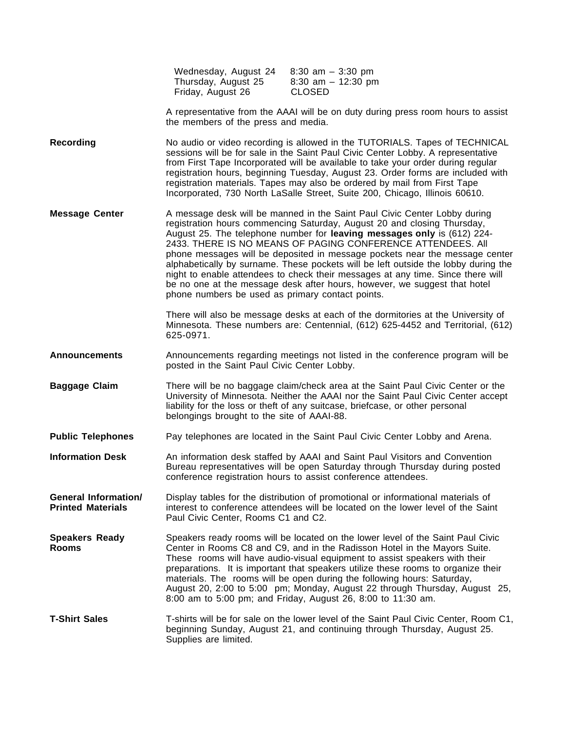|                                                         | Wednesday, August 24<br>Thursday, August 25<br>Friday, August 26                                                                                                                                                                                                                                                                                                                                                                                                                                                                                                                                                                                                                        | $8:30$ am $-3:30$ pm<br>8:30 am $-$ 12:30 pm<br><b>CLOSED</b>                                                                                                                                                                                                                                                                                                                                                                                                                                                                                            |  |
|---------------------------------------------------------|-----------------------------------------------------------------------------------------------------------------------------------------------------------------------------------------------------------------------------------------------------------------------------------------------------------------------------------------------------------------------------------------------------------------------------------------------------------------------------------------------------------------------------------------------------------------------------------------------------------------------------------------------------------------------------------------|----------------------------------------------------------------------------------------------------------------------------------------------------------------------------------------------------------------------------------------------------------------------------------------------------------------------------------------------------------------------------------------------------------------------------------------------------------------------------------------------------------------------------------------------------------|--|
|                                                         | A representative from the AAAI will be on duty during press room hours to assist<br>the members of the press and media.                                                                                                                                                                                                                                                                                                                                                                                                                                                                                                                                                                 |                                                                                                                                                                                                                                                                                                                                                                                                                                                                                                                                                          |  |
| <b>Recording</b>                                        |                                                                                                                                                                                                                                                                                                                                                                                                                                                                                                                                                                                                                                                                                         | No audio or video recording is allowed in the TUTORIALS. Tapes of TECHNICAL<br>sessions will be for sale in the Saint Paul Civic Center Lobby. A representative<br>from First Tape Incorporated will be available to take your order during regular<br>registration hours, beginning Tuesday, August 23. Order forms are included with<br>registration materials. Tapes may also be ordered by mail from First Tape<br>Incorporated, 730 North LaSalle Street, Suite 200, Chicago, Illinois 60610.                                                       |  |
| <b>Message Center</b>                                   | A message desk will be manned in the Saint Paul Civic Center Lobby during<br>registration hours commencing Saturday, August 20 and closing Thursday,<br>August 25. The telephone number for leaving messages only is (612) 224-<br>2433. THERE IS NO MEANS OF PAGING CONFERENCE ATTENDEES, All<br>phone messages will be deposited in message pockets near the message center<br>alphabetically by surname. These pockets will be left outside the lobby during the<br>night to enable attendees to check their messages at any time. Since there will<br>be no one at the message desk after hours, however, we suggest that hotel<br>phone numbers be used as primary contact points. |                                                                                                                                                                                                                                                                                                                                                                                                                                                                                                                                                          |  |
|                                                         | 625-0971.                                                                                                                                                                                                                                                                                                                                                                                                                                                                                                                                                                                                                                                                               | There will also be message desks at each of the dormitories at the University of<br>Minnesota. These numbers are: Centennial, (612) 625-4452 and Territorial, (612)                                                                                                                                                                                                                                                                                                                                                                                      |  |
| <b>Announcements</b>                                    | posted in the Saint Paul Civic Center Lobby.                                                                                                                                                                                                                                                                                                                                                                                                                                                                                                                                                                                                                                            | Announcements regarding meetings not listed in the conference program will be                                                                                                                                                                                                                                                                                                                                                                                                                                                                            |  |
| <b>Baggage Claim</b>                                    | belongings brought to the site of AAAI-88.                                                                                                                                                                                                                                                                                                                                                                                                                                                                                                                                                                                                                                              | There will be no baggage claim/check area at the Saint Paul Civic Center or the<br>University of Minnesota. Neither the AAAI nor the Saint Paul Civic Center accept<br>liability for the loss or theft of any suitcase, briefcase, or other personal                                                                                                                                                                                                                                                                                                     |  |
| <b>Public Telephones</b>                                |                                                                                                                                                                                                                                                                                                                                                                                                                                                                                                                                                                                                                                                                                         | Pay telephones are located in the Saint Paul Civic Center Lobby and Arena.                                                                                                                                                                                                                                                                                                                                                                                                                                                                               |  |
| <b>Information Desk</b>                                 |                                                                                                                                                                                                                                                                                                                                                                                                                                                                                                                                                                                                                                                                                         | An information desk staffed by AAAI and Saint Paul Visitors and Convention<br>Bureau representatives will be open Saturday through Thursday during posted<br>conference registration hours to assist conference attendees.                                                                                                                                                                                                                                                                                                                               |  |
| <b>General Information/</b><br><b>Printed Materials</b> | Paul Civic Center, Rooms C1 and C2.                                                                                                                                                                                                                                                                                                                                                                                                                                                                                                                                                                                                                                                     | Display tables for the distribution of promotional or informational materials of<br>interest to conference attendees will be located on the lower level of the Saint                                                                                                                                                                                                                                                                                                                                                                                     |  |
| <b>Speakers Ready</b><br><b>Rooms</b>                   |                                                                                                                                                                                                                                                                                                                                                                                                                                                                                                                                                                                                                                                                                         | Speakers ready rooms will be located on the lower level of the Saint Paul Civic<br>Center in Rooms C8 and C9, and in the Radisson Hotel in the Mayors Suite.<br>These rooms will have audio-visual equipment to assist speakers with their<br>preparations. It is important that speakers utilize these rooms to organize their<br>materials. The rooms will be open during the following hours: Saturday,<br>August 20, 2:00 to 5:00 pm; Monday, August 22 through Thursday, August 25,<br>8:00 am to 5:00 pm; and Friday, August 26, 8:00 to 11:30 am. |  |
| <b>T-Shirt Sales</b>                                    | Supplies are limited.                                                                                                                                                                                                                                                                                                                                                                                                                                                                                                                                                                                                                                                                   | T-shirts will be for sale on the lower level of the Saint Paul Civic Center, Room C1,<br>beginning Sunday, August 21, and continuing through Thursday, August 25.                                                                                                                                                                                                                                                                                                                                                                                        |  |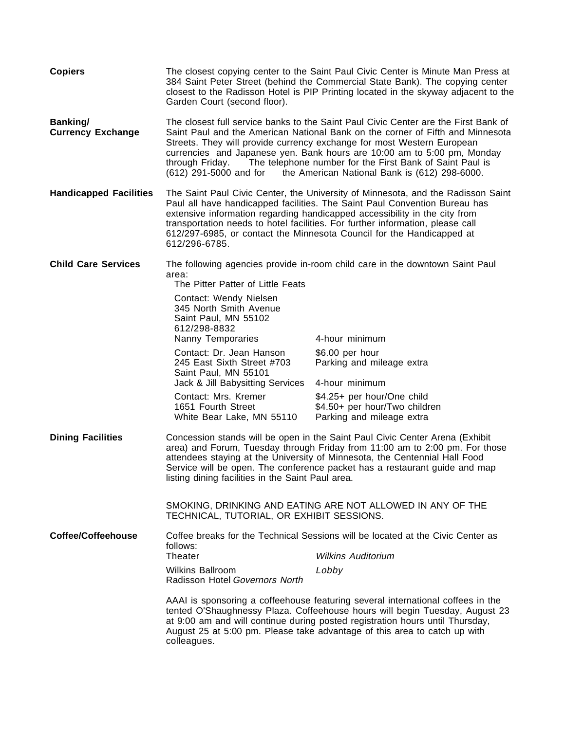| <b>Copiers</b>                       | Garden Court (second floor).                                                                                                                                                                                                                                                                                                                                                                                                                                                      | The closest copying center to the Saint Paul Civic Center is Minute Man Press at<br>384 Saint Peter Street (behind the Commercial State Bank). The copying center<br>closest to the Radisson Hotel is PIP Printing located in the skyway adjacent to the                                                                     |
|--------------------------------------|-----------------------------------------------------------------------------------------------------------------------------------------------------------------------------------------------------------------------------------------------------------------------------------------------------------------------------------------------------------------------------------------------------------------------------------------------------------------------------------|------------------------------------------------------------------------------------------------------------------------------------------------------------------------------------------------------------------------------------------------------------------------------------------------------------------------------|
| Banking/<br><b>Currency Exchange</b> | The closest full service banks to the Saint Paul Civic Center are the First Bank of<br>Saint Paul and the American National Bank on the corner of Fifth and Minnesota<br>Streets. They will provide currency exchange for most Western European<br>currencies and Japanese yen. Bank hours are 10:00 am to 5:00 pm, Monday<br>The telephone number for the First Bank of Saint Paul is<br>through Friday.<br>(612) 291-5000 and for the American National Bank is (612) 298-6000. |                                                                                                                                                                                                                                                                                                                              |
| <b>Handicapped Facilities</b>        | The Saint Paul Civic Center, the University of Minnesota, and the Radisson Saint<br>Paul all have handicapped facilities. The Saint Paul Convention Bureau has<br>extensive information regarding handicapped accessibility in the city from<br>transportation needs to hotel facilities. For further information, please call<br>612/297-6985, or contact the Minnesota Council for the Handicapped at<br>612/296-6785.                                                          |                                                                                                                                                                                                                                                                                                                              |
| <b>Child Care Services</b>           | The following agencies provide in-room child care in the downtown Saint Paul<br>area:                                                                                                                                                                                                                                                                                                                                                                                             |                                                                                                                                                                                                                                                                                                                              |
|                                      | The Pitter Patter of Little Feats<br>Contact: Wendy Nielsen<br>345 North Smith Avenue<br>Saint Paul, MN 55102<br>612/298-8832<br>Nanny Temporaries                                                                                                                                                                                                                                                                                                                                | 4-hour minimum                                                                                                                                                                                                                                                                                                               |
|                                      | Contact: Dr. Jean Hanson<br>245 East Sixth Street #703<br>Saint Paul, MN 55101                                                                                                                                                                                                                                                                                                                                                                                                    | \$6.00 per hour<br>Parking and mileage extra                                                                                                                                                                                                                                                                                 |
|                                      | Jack & Jill Babysitting Services                                                                                                                                                                                                                                                                                                                                                                                                                                                  | 4-hour minimum                                                                                                                                                                                                                                                                                                               |
|                                      | Contact: Mrs. Kremer<br>1651 Fourth Street<br>White Bear Lake, MN 55110                                                                                                                                                                                                                                                                                                                                                                                                           | \$4.25+ per hour/One child<br>\$4.50+ per hour/Two children<br>Parking and mileage extra                                                                                                                                                                                                                                     |
| <b>Dining Facilities</b>             | Concession stands will be open in the Saint Paul Civic Center Arena (Exhibit<br>area) and Forum, Tuesday through Friday from 11:00 am to 2:00 pm. For those<br>attendees staying at the University of Minnesota, the Centennial Hall Food<br>Service will be open. The conference packet has a restaurant guide and map<br>listing dining facilities in the Saint Paul area.                                                                                                      |                                                                                                                                                                                                                                                                                                                              |
|                                      | TECHNICAL, TUTORIAL, OR EXHIBIT SESSIONS.                                                                                                                                                                                                                                                                                                                                                                                                                                         | SMOKING, DRINKING AND EATING ARE NOT ALLOWED IN ANY OF THE                                                                                                                                                                                                                                                                   |
| Coffee/Coffeehouse                   | Coffee breaks for the Technical Sessions will be located at the Civic Center as<br>follows:                                                                                                                                                                                                                                                                                                                                                                                       |                                                                                                                                                                                                                                                                                                                              |
|                                      | <b>Theater</b>                                                                                                                                                                                                                                                                                                                                                                                                                                                                    | <i>Wilkins Auditorium</i>                                                                                                                                                                                                                                                                                                    |
|                                      | <b>Wilkins Ballroom</b><br>Radisson Hotel Governors North                                                                                                                                                                                                                                                                                                                                                                                                                         | Lobby                                                                                                                                                                                                                                                                                                                        |
|                                      | colleagues.                                                                                                                                                                                                                                                                                                                                                                                                                                                                       | AAAI is sponsoring a coffeehouse featuring several international coffees in the<br>tented O'Shaughnessy Plaza. Coffeehouse hours will begin Tuesday, August 23<br>at 9:00 am and will continue during posted registration hours until Thursday,<br>August 25 at 5:00 pm. Please take advantage of this area to catch up with |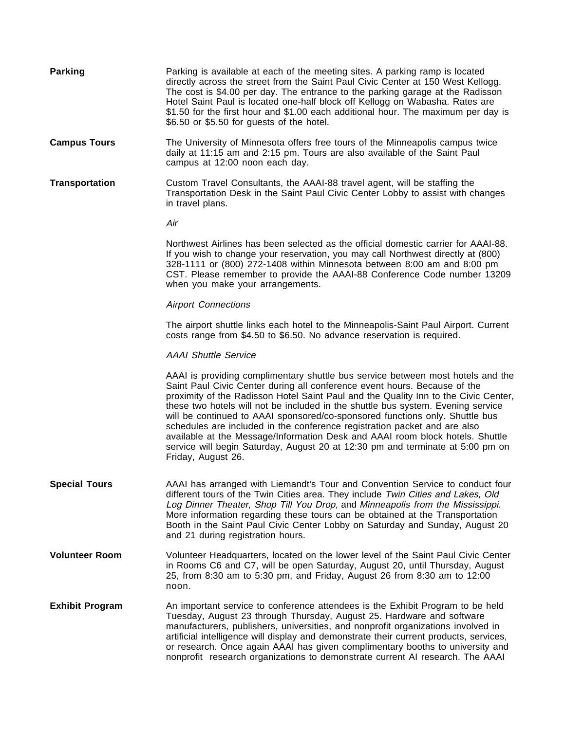| <b>Parking</b>         | Parking is available at each of the meeting sites. A parking ramp is located<br>directly across the street from the Saint Paul Civic Center at 150 West Kellogg.<br>The cost is \$4.00 per day. The entrance to the parking garage at the Radisson<br>Hotel Saint Paul is located one-half block off Kellogg on Wabasha. Rates are<br>\$1.50 for the first hour and \$1.00 each additional hour. The maximum per day is<br>\$6.50 or \$5.50 for guests of the hotel.                                                                                                                                                                                                                          |
|------------------------|-----------------------------------------------------------------------------------------------------------------------------------------------------------------------------------------------------------------------------------------------------------------------------------------------------------------------------------------------------------------------------------------------------------------------------------------------------------------------------------------------------------------------------------------------------------------------------------------------------------------------------------------------------------------------------------------------|
| <b>Campus Tours</b>    | The University of Minnesota offers free tours of the Minneapolis campus twice<br>daily at 11:15 am and 2:15 pm. Tours are also available of the Saint Paul<br>campus at 12:00 noon each day.                                                                                                                                                                                                                                                                                                                                                                                                                                                                                                  |
| Transportation         | Custom Travel Consultants, the AAAI-88 travel agent, will be staffing the<br>Transportation Desk in the Saint Paul Civic Center Lobby to assist with changes<br>in travel plans.                                                                                                                                                                                                                                                                                                                                                                                                                                                                                                              |
|                        | Air                                                                                                                                                                                                                                                                                                                                                                                                                                                                                                                                                                                                                                                                                           |
|                        | Northwest Airlines has been selected as the official domestic carrier for AAAI-88.<br>If you wish to change your reservation, you may call Northwest directly at (800)<br>328-1111 or (800) 272-1408 within Minnesota between 8:00 am and 8:00 pm<br>CST. Please remember to provide the AAAI-88 Conference Code number 13209<br>when you make your arrangements.                                                                                                                                                                                                                                                                                                                             |
|                        | <b>Airport Connections</b>                                                                                                                                                                                                                                                                                                                                                                                                                                                                                                                                                                                                                                                                    |
|                        | The airport shuttle links each hotel to the Minneapolis-Saint Paul Airport. Current<br>costs range from \$4.50 to \$6.50. No advance reservation is required.                                                                                                                                                                                                                                                                                                                                                                                                                                                                                                                                 |
|                        | <b>AAAI Shuttle Service</b>                                                                                                                                                                                                                                                                                                                                                                                                                                                                                                                                                                                                                                                                   |
|                        | AAAI is providing complimentary shuttle bus service between most hotels and the<br>Saint Paul Civic Center during all conference event hours. Because of the<br>proximity of the Radisson Hotel Saint Paul and the Quality Inn to the Civic Center,<br>these two hotels will not be included in the shuttle bus system. Evening service<br>will be continued to AAAI sponsored/co-sponsored functions only. Shuttle bus<br>schedules are included in the conference registration packet and are also<br>available at the Message/Information Desk and AAAI room block hotels. Shuttle<br>service will begin Saturday, August 20 at 12:30 pm and terminate at 5:00 pm on<br>Friday, August 26. |
| <b>Special Tours</b>   | AAAI has arranged with Liemandt's Tour and Convention Service to conduct four<br>different tours of the Twin Cities area. They include Twin Cities and Lakes, Old<br>Log Dinner Theater, Shop Till You Drop, and Minneapolis from the Mississippi.<br>More information regarding these tours can be obtained at the Transportation<br>Booth in the Saint Paul Civic Center Lobby on Saturday and Sunday, August 20<br>and 21 during registration hours.                                                                                                                                                                                                                                       |
| <b>Volunteer Room</b>  | Volunteer Headquarters, located on the lower level of the Saint Paul Civic Center<br>in Rooms C6 and C7, will be open Saturday, August 20, until Thursday, August<br>25, from 8:30 am to 5:30 pm, and Friday, August 26 from 8:30 am to 12:00<br>noon.                                                                                                                                                                                                                                                                                                                                                                                                                                        |
| <b>Exhibit Program</b> | An important service to conference attendees is the Exhibit Program to be held<br>Tuesday, August 23 through Thursday, August 25. Hardware and software<br>manufacturers, publishers, universities, and nonprofit organizations involved in<br>artificial intelligence will display and demonstrate their current products, services,<br>or research. Once again AAAI has given complimentary booths to university and<br>nonprofit research organizations to demonstrate current AI research. The AAAI                                                                                                                                                                                       |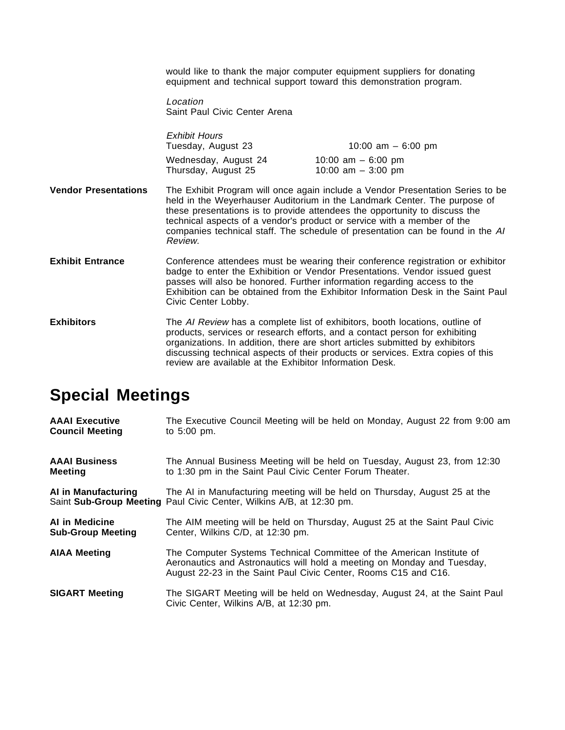would like to thank the major computer equipment suppliers for donating equipment and technical support toward this demonstration program.

Location Saint Paul Civic Center Arena

|                             | <b>Exhibit Hours</b><br>Tuesday, August 23  | 10:00 am $-$ 6:00 pm                                                                                                                                                                                                                                                                                                                                                                                   |
|-----------------------------|---------------------------------------------|--------------------------------------------------------------------------------------------------------------------------------------------------------------------------------------------------------------------------------------------------------------------------------------------------------------------------------------------------------------------------------------------------------|
|                             | Wednesday, August 24<br>Thursday, August 25 | 10:00 am $-6:00$ pm<br>10:00 am $-$ 3:00 pm                                                                                                                                                                                                                                                                                                                                                            |
| <b>Vendor Presentations</b> | Review                                      | The Exhibit Program will once again include a Vendor Presentation Series to be<br>held in the Weyerhauser Auditorium in the Landmark Center. The purpose of<br>these presentations is to provide attendees the opportunity to discuss the<br>technical aspects of a vendor's product or service with a member of the<br>companies technical staff. The schedule of presentation can be found in the AI |

- **Exhibit Entrance** Conference attendees must be wearing their conference registration or exhibitor badge to enter the Exhibition or Vendor Presentations. Vendor issued guest passes will also be honored. Further information regarding access to the Exhibition can be obtained from the Exhibitor Information Desk in the Saint Paul Civic Center Lobby.
- **Exhibitors** The AI Review has a complete list of exhibitors, booth locations, outline of products, services or research efforts, and a contact person for exhibiting organizations. In addition, there are short articles submitted by exhibitors discussing technical aspects of their products or services. Extra copies of this review are available at the Exhibitor Information Desk.

# **Special Meetings**

| <b>AAAI</b> Executive    | The Executive Council Meeting will be held on Monday, August 22 from 9:00 am                                                                                                                                        |
|--------------------------|---------------------------------------------------------------------------------------------------------------------------------------------------------------------------------------------------------------------|
| <b>Council Meeting</b>   | to $5:00$ pm.                                                                                                                                                                                                       |
| <b>AAAI Business</b>     | The Annual Business Meeting will be held on Tuesday, August 23, from 12:30                                                                                                                                          |
| <b>Meeting</b>           | to 1:30 pm in the Saint Paul Civic Center Forum Theater.                                                                                                                                                            |
| AI in Manufacturing      | The AI in Manufacturing meeting will be held on Thursday, August 25 at the<br>Saint Sub-Group Meeting Paul Civic Center, Wilkins A/B, at 12:30 pm.                                                                  |
| AI in Medicine           | The AIM meeting will be held on Thursday, August 25 at the Saint Paul Civic                                                                                                                                         |
| <b>Sub-Group Meeting</b> | Center, Wilkins C/D, at 12:30 pm.                                                                                                                                                                                   |
| <b>AIAA Meeting</b>      | The Computer Systems Technical Committee of the American Institute of<br>Aeronautics and Astronautics will hold a meeting on Monday and Tuesday,<br>August 22-23 in the Saint Paul Civic Center, Rooms C15 and C16. |
| <b>SIGART Meeting</b>    | The SIGART Meeting will be held on Wednesday, August 24, at the Saint Paul<br>Civic Center, Wilkins A/B, at 12:30 pm.                                                                                               |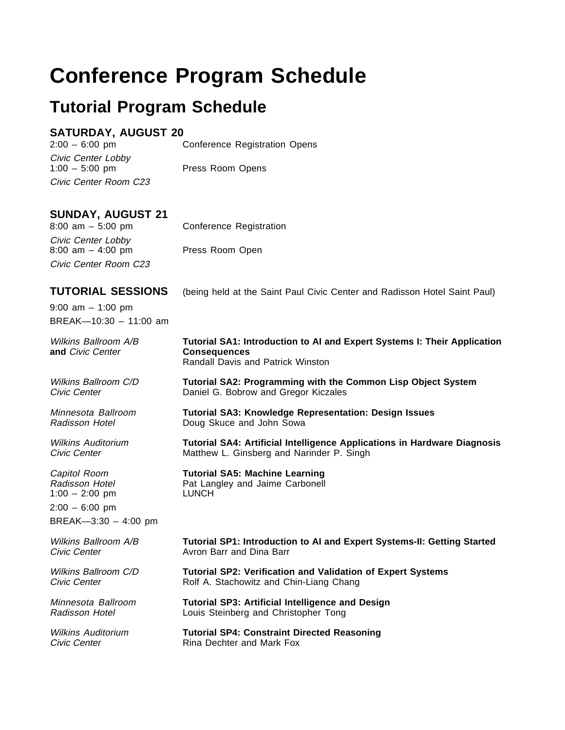# **Conference Program Schedule**

# **Tutorial Program Schedule**

### **SATURDAY, AUGUST 20**

2:00 – 6:00 pm Conference Registration Opens

Civic Center Lobby<br>1:00 - 5:00 pm Civic Center Room C23

Press Room Opens

### **SUNDAY, AUGUST 21**

Civic Center Lobby 8:00 am – 4:00 pm Press Room Open Civic Center Room C23

8:00 am – 5:00 pm Conference Registration

9:00 am – 1:00 pm BREAK—10:30 – 11:00 am

 $2:00 - 6:00$  pm

BREAK—3:30 – 4:00 pm

**TUTORIAL SESSIONS** (being held at the Saint Paul Civic Center and Radisson Hotel Saint Paul)

# Wilkins Ballroom A/B **Tutorial SA1: Introduction to AI and Expert Systems I: Their Application**<br> **And Civic Center Consequences**  $$ Randall Davis and Patrick Winston Wilkins Ballroom C/D **Tutorial SA2: Programming with the Common Lisp Object System** Civic Center **Daniel G. Bobrow and Gregor Kiczales** Minnesota Ballroom **Tutorial SA3: Knowledge Representation: Design Issues** Radisson Hotel **Doug Skuce and John Sowa** Wilkins Auditorium **Tutorial SA4: Artificial Intelligence Applications in Hardware Diagnosis** Civic Center **Matthew L. Ginsberg and Narinder P. Singh** Capitol Room **Tutorial SA5: Machine Learning** Radisson Hotel **Pat Langley and Jaime Carbonell** 1:00 – 2:00 pm LUNCH Wilkins Ballroom A/B **Tutorial SP1: Introduction to AI and Expert Systems-II: Getting Started** Civic Center **Avron Barr** and Dina Barr Wilkins Ballroom C/D **Tutorial SP2: Verification and Validation of Expert Systems** Civic Center **Rolf A. Stachowitz and Chin-Liang Chang** Minnesota Ballroom **Tutorial SP3: Artificial Intelligence and Design** Radisson Hotel **Louis Steinberg and Christopher Tong** Wilkins Auditorium **Tutorial SP4: Constraint Directed Reasoning** Civic Center **Rina Dechter and Mark Fox**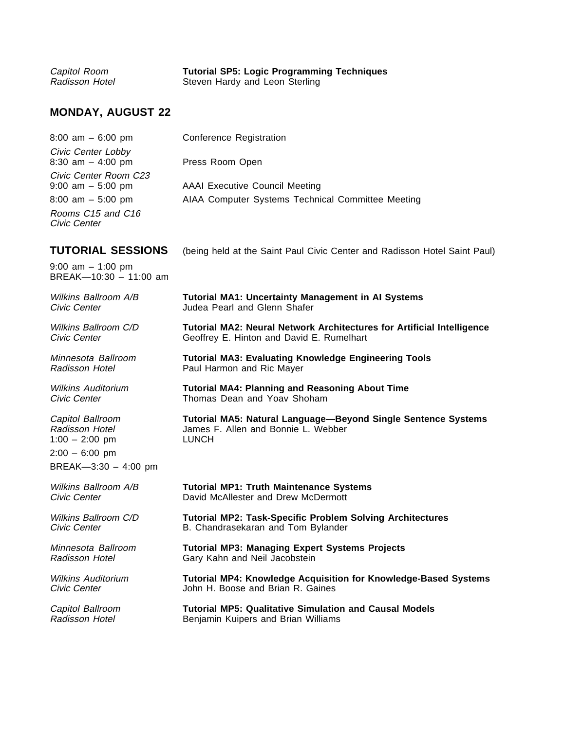| Capitol Room   | <b>Tutorial SP5: Logic Programming Techniques</b> |
|----------------|---------------------------------------------------|
| Radisson Hotel | Steven Hardy and Leon Sterling                    |

## **MONDAY, AUGUST 22**

| 8:00 am - 6:00 pm                             | <b>Conference Registration</b>                                                |
|-----------------------------------------------|-------------------------------------------------------------------------------|
| Civic Center Lobby<br>8:30 am $-$ 4:00 pm     | Press Room Open                                                               |
| Civic Center Room C23<br>$9:00$ am $-5:00$ pm | <b>AAAI Executive Council Meeting</b>                                         |
| $8:00$ am $-5:00$ pm                          | AIAA Computer Systems Technical Committee Meeting                             |
| Rooms C15 and C16<br>Civic Center             |                                                                               |
| TUTORIAL SESSIONS                             | (being held at the Saint Paul Civic Center and Radisson Hotel Saint Paul)     |
| 9:00 am - 1:00 pm<br>BREAK-10:30 - 11:00 am   |                                                                               |
| Wilkins Ballroom A/B                          | <b>Tutorial MA1: Uncertainty Management in AI Systems</b>                     |
| Civic Center                                  | Judea Pearl and Glenn Shafer                                                  |
| Wilkins Ballroom C/D                          | <b>Tutorial MA2: Neural Network Architectures for Artificial Intelligence</b> |
| Civic Center                                  | Geoffrey E. Hinton and David E. Rumelhart                                     |
| Minnesota Ballroom                            | <b>Tutorial MA3: Evaluating Knowledge Engineering Tools</b>                   |
| Radisson Hotel                                | Paul Harmon and Ric Mayer                                                     |
| <b>Wilkins Auditorium</b>                     | <b>Tutorial MA4: Planning and Reasoning About Time</b>                        |
| Civic Center                                  | Thomas Dean and Yoav Shoham                                                   |
| Capitol Ballroom                              | Tutorial MA5: Natural Language-Beyond Single Sentence Systems                 |
| Radisson Hotel                                | James F. Allen and Bonnie L. Webber                                           |
| $1:00 - 2:00$ pm                              | <b>LUNCH</b>                                                                  |
| $2:00 - 6:00$ pm                              |                                                                               |
| BREAK-3:30 - 4:00 pm                          |                                                                               |
| Wilkins Ballroom A/B                          | <b>Tutorial MP1: Truth Maintenance Systems</b>                                |
| Civic Center                                  | David McAllester and Drew McDermott                                           |
| <b>Wilkins Ballroom C/D</b>                   | <b>Tutorial MP2: Task-Specific Problem Solving Architectures</b>              |
| Civic Center                                  | B. Chandrasekaran and Tom Bylander                                            |
| Minnesota Ballroom                            | <b>Tutorial MP3: Managing Expert Systems Projects</b>                         |
| Radisson Hotel                                | Gary Kahn and Neil Jacobstein                                                 |
|                                               |                                                                               |
| <b>Wilkins Auditorium</b>                     | <b>Tutorial MP4: Knowledge Acquisition for Knowledge-Based Systems</b>        |
| Civic Center                                  | John H. Boose and Brian R. Gaines                                             |
| Capitol Ballroom                              | <b>Tutorial MP5: Qualitative Simulation and Causal Models</b>                 |
| Radisson Hotel                                | Benjamin Kuipers and Brian Williams                                           |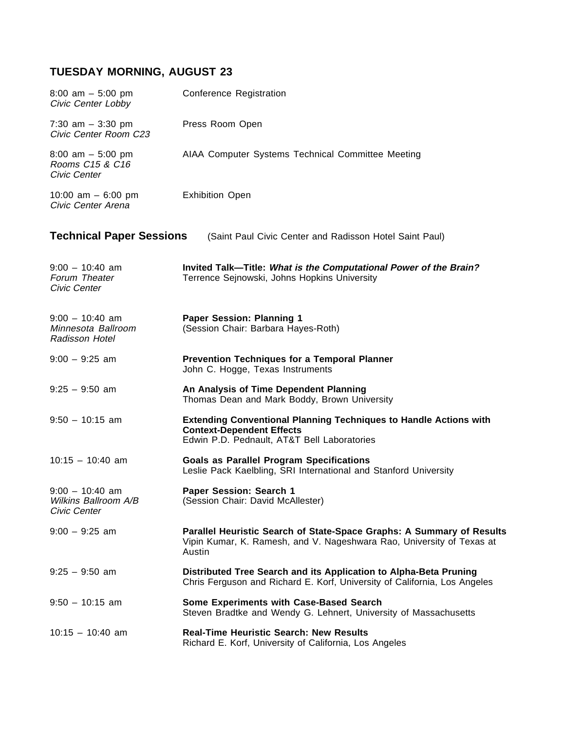## **TUESDAY MORNING, AUGUST 23**

| $8:00$ am $-5:00$ pm<br>Civic Center Lobby                       | Conference Registration                                                                                                                                     |
|------------------------------------------------------------------|-------------------------------------------------------------------------------------------------------------------------------------------------------------|
| 7:30 am $-$ 3:30 pm<br>Civic Center Room C23                     | Press Room Open                                                                                                                                             |
| $8:00$ am $-5:00$ pm<br>Rooms C15 & C16<br>Civic Center          | AIAA Computer Systems Technical Committee Meeting                                                                                                           |
| 10:00 am $-$ 6:00 pm<br>Civic Center Arena                       | <b>Exhibition Open</b>                                                                                                                                      |
| <b>Technical Paper Sessions</b>                                  | (Saint Paul Civic Center and Radisson Hotel Saint Paul)                                                                                                     |
| $9:00 - 10:40$ am<br>Forum Theater<br>Civic Center               | Invited Talk-Title: What is the Computational Power of the Brain?<br>Terrence Sejnowski, Johns Hopkins University                                           |
| $9:00 - 10:40$ am<br>Minnesota Ballroom<br><b>Radisson Hotel</b> | <b>Paper Session: Planning 1</b><br>(Session Chair: Barbara Hayes-Roth)                                                                                     |
| $9:00 - 9:25$ am                                                 | <b>Prevention Techniques for a Temporal Planner</b><br>John C. Hogge, Texas Instruments                                                                     |
| $9:25 - 9:50$ am                                                 | An Analysis of Time Dependent Planning<br>Thomas Dean and Mark Boddy, Brown University                                                                      |
| $9:50 - 10:15$ am                                                | <b>Extending Conventional Planning Techniques to Handle Actions with</b><br><b>Context-Dependent Effects</b><br>Edwin P.D. Pednault, AT&T Bell Laboratories |
| $10:15 - 10:40$ am                                               | <b>Goals as Parallel Program Specifications</b><br>Leslie Pack Kaelbling, SRI International and Stanford University                                         |
| $9:00 - 10:40$ am<br>Wilkins Ballroom A/B<br>Civic Center        | Paper Session: Search 1<br>(Session Chair: David McAllester)                                                                                                |
| $9:00 - 9:25$ am                                                 | Parallel Heuristic Search of State-Space Graphs: A Summary of Results<br>Vipin Kumar, K. Ramesh, and V. Nageshwara Rao, University of Texas at<br>Austin    |
| $9:25 - 9:50$ am                                                 | Distributed Tree Search and its Application to Alpha-Beta Pruning<br>Chris Ferguson and Richard E. Korf, University of California, Los Angeles              |
| $9:50 - 10:15$ am                                                | Some Experiments with Case-Based Search<br>Steven Bradtke and Wendy G. Lehnert, University of Massachusetts                                                 |
| $10:15 - 10:40$ am                                               | <b>Real-Time Heuristic Search: New Results</b><br>Richard E. Korf, University of California, Los Angeles                                                    |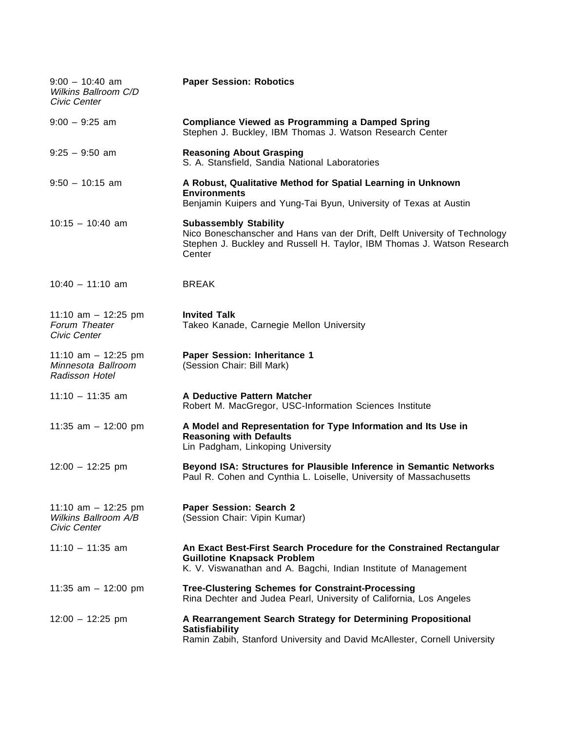| $9:00 - 10:40$ am<br>Wilkins Ballroom C/D<br>Civic Center     | <b>Paper Session: Robotics</b>                                                                                                                                                                  |
|---------------------------------------------------------------|-------------------------------------------------------------------------------------------------------------------------------------------------------------------------------------------------|
| $9:00 - 9:25$ am                                              | <b>Compliance Viewed as Programming a Damped Spring</b><br>Stephen J. Buckley, IBM Thomas J. Watson Research Center                                                                             |
| $9:25 - 9:50$ am                                              | <b>Reasoning About Grasping</b><br>S. A. Stansfield, Sandia National Laboratories                                                                                                               |
| $9:50 - 10:15$ am                                             | A Robust, Qualitative Method for Spatial Learning in Unknown<br><b>Environments</b><br>Benjamin Kuipers and Yung-Tai Byun, University of Texas at Austin                                        |
| $10:15 - 10:40$ am                                            | <b>Subassembly Stability</b><br>Nico Boneschanscher and Hans van der Drift, Delft University of Technology<br>Stephen J. Buckley and Russell H. Taylor, IBM Thomas J. Watson Research<br>Center |
| $10:40 - 11:10$ am                                            | <b>BREAK</b>                                                                                                                                                                                    |
| 11:10 am $-$ 12:25 pm<br>Forum Theater<br>Civic Center        | <b>Invited Talk</b><br>Takeo Kanade, Carnegie Mellon University                                                                                                                                 |
| 11:10 am $-$ 12:25 pm<br>Minnesota Ballroom<br>Radisson Hotel | Paper Session: Inheritance 1<br>(Session Chair: Bill Mark)                                                                                                                                      |
| $11:10 - 11:35$ am                                            | A Deductive Pattern Matcher<br>Robert M. MacGregor, USC-Information Sciences Institute                                                                                                          |
| 11:35 am $-$ 12:00 pm                                         | A Model and Representation for Type Information and Its Use in<br><b>Reasoning with Defaults</b><br>Lin Padgham, Linkoping University                                                           |
| $12:00 - 12:25$ pm                                            | Beyond ISA: Structures for Plausible Inference in Semantic Networks<br>Paul R. Cohen and Cynthia L. Loiselle, University of Massachusetts                                                       |
| 11:10 am $-$ 12:25 pm<br>Wilkins Ballroom A/B<br>Civic Center | <b>Paper Session: Search 2</b><br>(Session Chair: Vipin Kumar)                                                                                                                                  |
| $11:10 - 11:35$ am                                            | An Exact Best-First Search Procedure for the Constrained Rectangular<br><b>Guillotine Knapsack Problem</b><br>K. V. Viswanathan and A. Bagchi, Indian Institute of Management                   |
| 11:35 am $-$ 12:00 pm                                         | <b>Tree-Clustering Schemes for Constraint-Processing</b><br>Rina Dechter and Judea Pearl, University of California, Los Angeles                                                                 |
| $12:00 - 12:25$ pm                                            | A Rearrangement Search Strategy for Determining Propositional<br><b>Satisfiability</b><br>Ramin Zabih, Stanford University and David McAllester, Cornell University                             |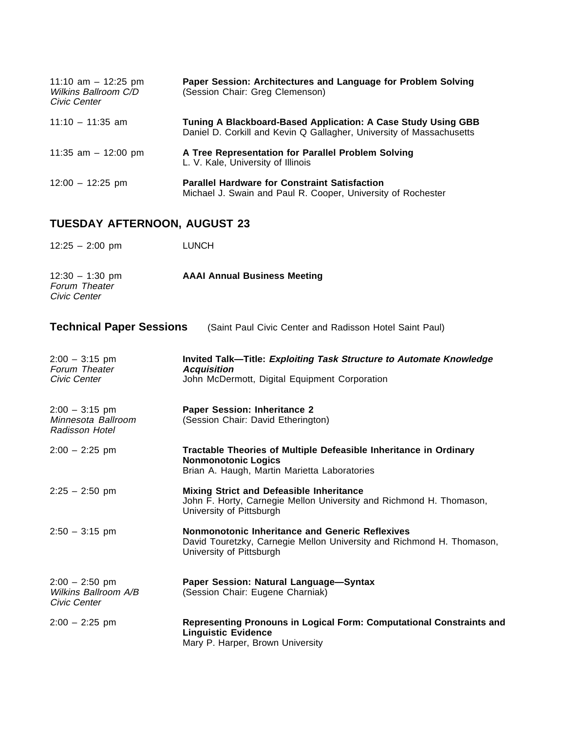| 11:10 am $-$ 12:25 pm<br>Wilkins Ballroom C/D<br>Civic Center | Paper Session: Architectures and Language for Problem Solving<br>(Session Chair: Greg Clemenson)                                      |
|---------------------------------------------------------------|---------------------------------------------------------------------------------------------------------------------------------------|
| $11:10 - 11:35$ am                                            | Tuning A Blackboard-Based Application: A Case Study Using GBB<br>Daniel D. Corkill and Kevin Q Gallagher, University of Massachusetts |
| 11:35 am $-$ 12:00 pm                                         | A Tree Representation for Parallel Problem Solving<br>L. V. Kale, University of Illinois                                              |
| $12:00 - 12:25$ pm                                            | <b>Parallel Hardware for Constraint Satisfaction</b><br>Michael J. Swain and Paul R. Cooper, University of Rochester                  |

## **TUESDAY AFTERNOON, AUGUST 23**

| $12:25 - 2:00$ pm | <b>LUNCH</b> |
|-------------------|--------------|
|-------------------|--------------|

| $12:30 - 1:30$ pm | <b>AAAI Annual Business Meeting</b> |
|-------------------|-------------------------------------|
| Forum Theater     |                                     |
| Civic Center      |                                     |

| <b>Technical Paper Sessions</b>                                 | (Saint Paul Civic Center and Radisson Hotel Saint Paul)                                                                                              |
|-----------------------------------------------------------------|------------------------------------------------------------------------------------------------------------------------------------------------------|
| $2:00 - 3:15$ pm<br>Forum Theater<br>Civic Center               | Invited Talk-Title: Exploiting Task Structure to Automate Knowledge<br><b>Acquisition</b><br>John McDermott, Digital Equipment Corporation           |
| $2:00 - 3:15$ pm<br>Minnesota Ballroom<br><b>Radisson Hotel</b> | Paper Session: Inheritance 2<br>(Session Chair: David Etherington)                                                                                   |
| $2:00 - 2:25$ pm                                                | Tractable Theories of Multiple Defeasible Inheritance in Ordinary<br><b>Nonmonotonic Logics</b><br>Brian A. Haugh, Martin Marietta Laboratories      |
| $2:25 - 2:50$ pm                                                | <b>Mixing Strict and Defeasible Inheritance</b><br>John F. Horty, Carnegie Mellon University and Richmond H. Thomason,<br>University of Pittsburgh   |
| $2:50 - 3:15$ pm                                                | Nonmonotonic Inheritance and Generic Reflexives<br>David Touretzky, Carnegie Mellon University and Richmond H. Thomason,<br>University of Pittsburgh |
| $2:00 - 2:50$ pm<br>Wilkins Ballroom A/B<br>Civic Center        | Paper Session: Natural Language-Syntax<br>(Session Chair: Eugene Charniak)                                                                           |
| $2:00 - 2:25$ pm                                                | Representing Pronouns in Logical Form: Computational Constraints and<br><b>Linguistic Evidence</b><br>Mary P. Harper, Brown University               |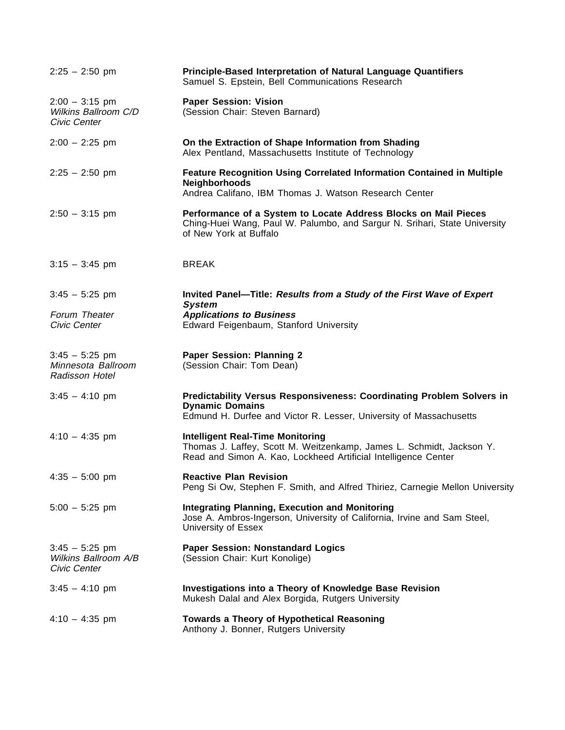| $2:25 - 2:50$ pm                                         | Principle-Based Interpretation of Natural Language Quantifiers<br>Samuel S. Epstein, Bell Communications Research                                                                 |
|----------------------------------------------------------|-----------------------------------------------------------------------------------------------------------------------------------------------------------------------------------|
| $2:00 - 3:15$ pm<br>Wilkins Ballroom C/D<br>Civic Center | <b>Paper Session: Vision</b><br>(Session Chair: Steven Barnard)                                                                                                                   |
| $2:00 - 2:25$ pm                                         | On the Extraction of Shape Information from Shading<br>Alex Pentland, Massachusetts Institute of Technology                                                                       |
| $2:25 - 2:50$ pm                                         | <b>Feature Recognition Using Correlated Information Contained in Multiple</b><br><b>Neighborhoods</b><br>Andrea Califano, IBM Thomas J. Watson Research Center                    |
| $2:50 - 3:15$ pm                                         | Performance of a System to Locate Address Blocks on Mail Pieces<br>Ching-Huei Wang, Paul W. Palumbo, and Sargur N. Srihari, State University<br>of New York at Buffalo            |
| $3:15 - 3:45$ pm                                         | <b>BREAK</b>                                                                                                                                                                      |
| $3:45 - 5:25$ pm<br>Forum Theater<br>Civic Center        | Invited Panel—Title: Results from a Study of the First Wave of Expert<br><b>System</b><br><b>Applications to Business</b><br>Edward Feigenbaum, Stanford University               |
| $3:45 - 5:25$ pm<br>Minnesota Ballroom<br>Radisson Hotel | <b>Paper Session: Planning 2</b><br>(Session Chair: Tom Dean)                                                                                                                     |
| $3:45 - 4:10$ pm                                         | <b>Predictability Versus Responsiveness: Coordinating Problem Solvers in</b><br><b>Dynamic Domains</b><br>Edmund H. Durfee and Victor R. Lesser, University of Massachusetts      |
| $4:10 - 4:35$ pm                                         | <b>Intelligent Real-Time Monitoring</b><br>Thomas J. Laffey, Scott M. Weitzenkamp, James L. Schmidt, Jackson Y.<br>Read and Simon A. Kao, Lockheed Artificial Intelligence Center |
| $4:35 - 5:00$ pm                                         | <b>Reactive Plan Revision</b><br>Peng Si Ow, Stephen F. Smith, and Alfred Thiriez, Carnegie Mellon University                                                                     |
| $5:00 - 5:25$ pm                                         | <b>Integrating Planning, Execution and Monitoring</b><br>Jose A. Ambros-Ingerson, University of California, Irvine and Sam Steel,<br>University of Essex                          |
| $3:45 - 5:25$ pm<br>Wilkins Ballroom A/B<br>Civic Center | <b>Paper Session: Nonstandard Logics</b><br>(Session Chair: Kurt Konolige)                                                                                                        |
| $3:45 - 4:10$ pm                                         | <b>Investigations into a Theory of Knowledge Base Revision</b><br>Mukesh Dalal and Alex Borgida, Rutgers University                                                               |
| $4:10 - 4:35$ pm                                         | Towards a Theory of Hypothetical Reasoning<br>Anthony J. Bonner, Rutgers University                                                                                               |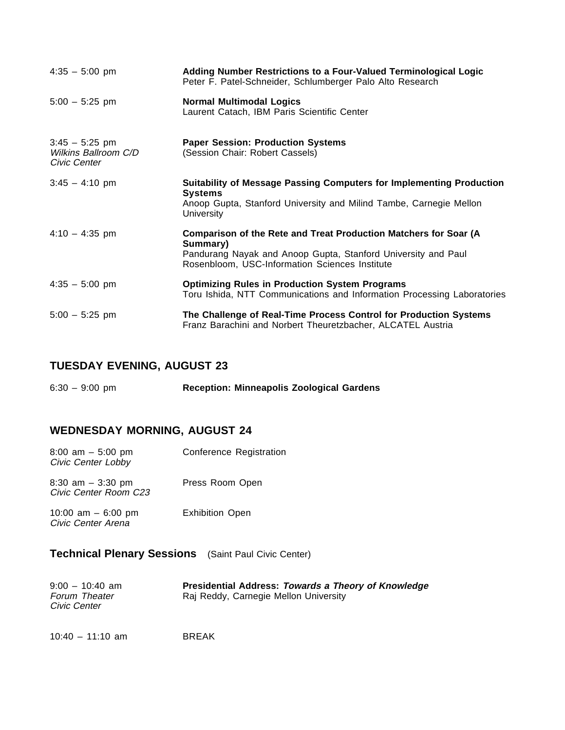| $4:35 - 5:00$ pm                                         | Adding Number Restrictions to a Four-Valued Terminological Logic<br>Peter F. Patel-Schneider, Schlumberger Palo Alto Research                                                                   |
|----------------------------------------------------------|-------------------------------------------------------------------------------------------------------------------------------------------------------------------------------------------------|
| $5:00 - 5:25$ pm                                         | <b>Normal Multimodal Logics</b><br>Laurent Catach, IBM Paris Scientific Center                                                                                                                  |
| $3:45 - 5:25$ pm<br>Wilkins Ballroom C/D<br>Civic Center | <b>Paper Session: Production Systems</b><br>(Session Chair: Robert Cassels)                                                                                                                     |
| $3:45 - 4:10$ pm                                         | Suitability of Message Passing Computers for Implementing Production<br><b>Systems</b><br>Anoop Gupta, Stanford University and Milind Tambe, Carnegie Mellon<br>University                      |
| $4:10 - 4:35$ pm                                         | Comparison of the Rete and Treat Production Matchers for Soar (A<br>Summary)<br>Pandurang Nayak and Anoop Gupta, Stanford University and Paul<br>Rosenbloom, USC-Information Sciences Institute |
| $4:35 - 5:00$ pm                                         | <b>Optimizing Rules in Production System Programs</b><br>Toru Ishida, NTT Communications and Information Processing Laboratories                                                                |
| $5:00 - 5:25$ pm                                         | The Challenge of Real-Time Process Control for Production Systems<br>Franz Barachini and Norbert Theuretzbacher, ALCATEL Austria                                                                |

### **TUESDAY EVENING, AUGUST 23**

| $6:30 - 9:00$ pm | <b>Reception: Minneapolis Zoological Gardens</b> |
|------------------|--------------------------------------------------|
|------------------|--------------------------------------------------|

### **WEDNESDAY MORNING, AUGUST 24**

| $8:00$ am $-5:00$ pm<br>Civic Center Lobby    | Conference Registration |
|-----------------------------------------------|-------------------------|
| $8:30$ am $-3:30$ pm<br>Civic Center Room C23 | Press Room Open         |
| 10:00 am $-$ 6:00 pm<br>Civic Center Arena    | <b>Exhibition Open</b>  |

### **Technical Plenary Sessions** (Saint Paul Civic Center)

| $9:00 - 10:40$ am    | <b>Presidential Address: Towards a Theory of Knowledge</b> |
|----------------------|------------------------------------------------------------|
| <b>Forum Theater</b> | Raj Reddy, Carnegie Mellon University                      |
| Civic Center         |                                                            |

10:40 – 11:10 am BREAK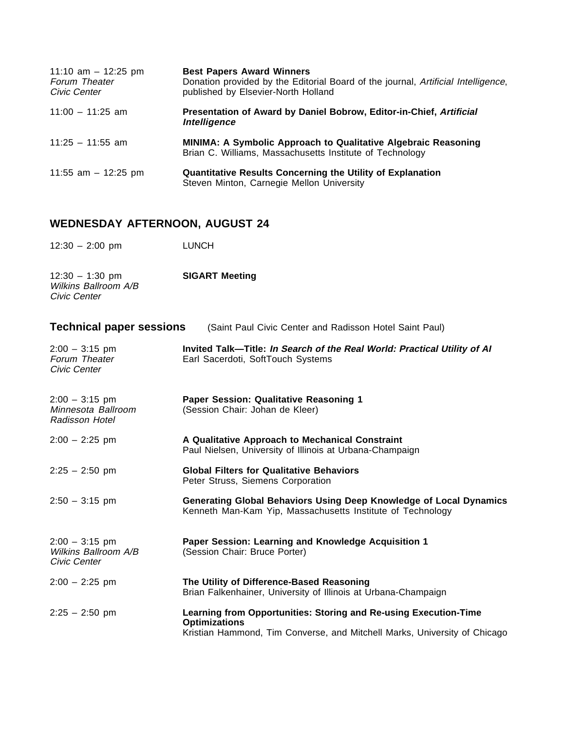| 11:10 am $-$ 12:25 pm<br>Forum Theater<br>Civic Center | <b>Best Papers Award Winners</b><br>Donation provided by the Editorial Board of the journal, Artificial Intelligence,<br>published by Elsevier-North Holland |
|--------------------------------------------------------|--------------------------------------------------------------------------------------------------------------------------------------------------------------|
| $11:00 - 11:25$ am                                     | Presentation of Award by Daniel Bobrow, Editor-in-Chief, Artificial<br>Intelligence                                                                          |
| $11:25 - 11:55$ am                                     | MINIMA: A Symbolic Approach to Qualitative Algebraic Reasoning<br>Brian C. Williams, Massachusetts Institute of Technology                                   |
| 11:55 am $-$ 12:25 pm                                  | <b>Quantitative Results Concerning the Utility of Explanation</b><br>Steven Minton, Carnegie Mellon University                                               |

### **WEDNESDAY AFTERNOON, AUGUST 24**

- 12:30 2:00 pm LUNCH
- 12:30 1:30 pm **SIGART Meeting** Wilkins Ballroom A/B Civic Center

| <b>Technical paper sessions</b>                          | (Saint Paul Civic Center and Radisson Hotel Saint Paul)                                                                                                               |
|----------------------------------------------------------|-----------------------------------------------------------------------------------------------------------------------------------------------------------------------|
| $2:00 - 3:15$ pm<br>Forum Theater<br>Civic Center        | Invited Talk-Title: In Search of the Real World: Practical Utility of Al<br>Earl Sacerdoti, SoftTouch Systems                                                         |
| $2:00 - 3:15$ pm<br>Minnesota Ballroom<br>Radisson Hotel | Paper Session: Qualitative Reasoning 1<br>(Session Chair: Johan de Kleer)                                                                                             |
| $2:00 - 2:25$ pm                                         | A Qualitative Approach to Mechanical Constraint<br>Paul Nielsen, University of Illinois at Urbana-Champaign                                                           |
| $2:25 - 2:50$ pm                                         | <b>Global Filters for Qualitative Behaviors</b><br>Peter Struss, Siemens Corporation                                                                                  |
| $2:50 - 3:15$ pm                                         | Generating Global Behaviors Using Deep Knowledge of Local Dynamics<br>Kenneth Man-Kam Yip, Massachusetts Institute of Technology                                      |
| $2:00 - 3:15$ pm<br>Wilkins Ballroom A/B<br>Civic Center | Paper Session: Learning and Knowledge Acquisition 1<br>(Session Chair: Bruce Porter)                                                                                  |
| $2:00 - 2:25$ pm                                         | The Utility of Difference-Based Reasoning<br>Brian Falkenhainer, University of Illinois at Urbana-Champaign                                                           |
| $2:25 - 2:50$ pm                                         | Learning from Opportunities: Storing and Re-using Execution-Time<br><b>Optimizations</b><br>Kristian Hammond, Tim Converse, and Mitchell Marks, University of Chicago |
|                                                          |                                                                                                                                                                       |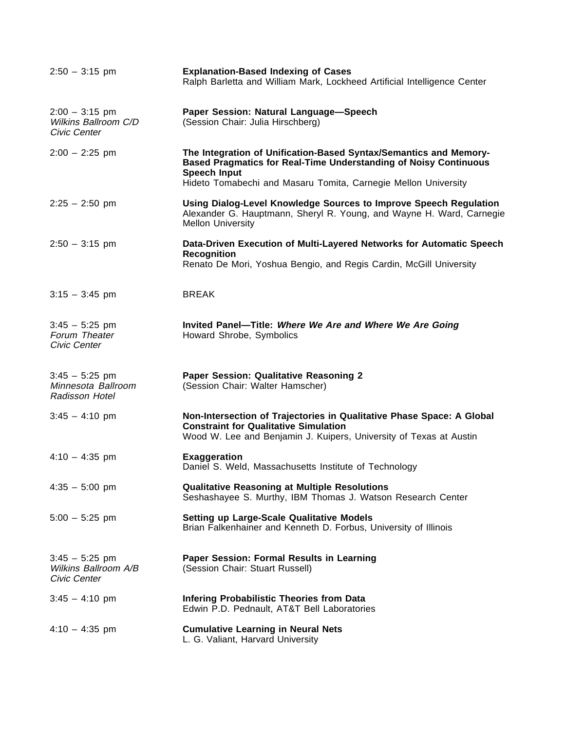| $2:50 - 3:15$ pm                                                | <b>Explanation-Based Indexing of Cases</b><br>Ralph Barletta and William Mark, Lockheed Artificial Intelligence Center                                                                      |
|-----------------------------------------------------------------|---------------------------------------------------------------------------------------------------------------------------------------------------------------------------------------------|
| $2:00 - 3:15$ pm<br>Wilkins Ballroom C/D<br>Civic Center        | Paper Session: Natural Language-Speech<br>(Session Chair: Julia Hirschberg)                                                                                                                 |
| $2:00 - 2:25$ pm                                                | The Integration of Unification-Based Syntax/Semantics and Memory-<br>Based Pragmatics for Real-Time Understanding of Noisy Continuous<br><b>Speech Input</b>                                |
|                                                                 | Hideto Tomabechi and Masaru Tomita, Carnegie Mellon University                                                                                                                              |
| $2:25 - 2:50$ pm                                                | Using Dialog-Level Knowledge Sources to Improve Speech Regulation<br>Alexander G. Hauptmann, Sheryl R. Young, and Wayne H. Ward, Carnegie<br><b>Mellon University</b>                       |
| $2:50 - 3:15$ pm                                                | Data-Driven Execution of Multi-Layered Networks for Automatic Speech<br><b>Recognition</b><br>Renato De Mori, Yoshua Bengio, and Regis Cardin, McGill University                            |
| $3:15 - 3:45$ pm                                                | <b>BREAK</b>                                                                                                                                                                                |
| $3:45 - 5:25$ pm<br>Forum Theater<br>Civic Center               | Invited Panel-Title: Where We Are and Where We Are Going<br>Howard Shrobe, Symbolics                                                                                                        |
| $3:45 - 5:25$ pm<br>Minnesota Ballroom<br><b>Radisson Hotel</b> | Paper Session: Qualitative Reasoning 2<br>(Session Chair: Walter Hamscher)                                                                                                                  |
| $3:45 - 4:10$ pm                                                | Non-Intersection of Trajectories in Qualitative Phase Space: A Global<br><b>Constraint for Qualitative Simulation</b><br>Wood W. Lee and Benjamin J. Kuipers, University of Texas at Austin |
| $4:10 - 4:35$ pm                                                | <b>Exaggeration</b><br>Daniel S. Weld, Massachusetts Institute of Technology                                                                                                                |
| $4:35 - 5:00$ pm                                                | <b>Qualitative Reasoning at Multiple Resolutions</b><br>Seshashayee S. Murthy, IBM Thomas J. Watson Research Center                                                                         |
| $5:00 - 5:25$ pm                                                | <b>Setting up Large-Scale Qualitative Models</b><br>Brian Falkenhainer and Kenneth D. Forbus, University of Illinois                                                                        |
| $3:45 - 5:25$ pm<br>Wilkins Ballroom A/B<br>Civic Center        | Paper Session: Formal Results in Learning<br>(Session Chair: Stuart Russell)                                                                                                                |
| $3:45 - 4:10$ pm                                                | <b>Infering Probabilistic Theories from Data</b><br>Edwin P.D. Pednault, AT&T Bell Laboratories                                                                                             |
| $4:10 - 4:35$ pm                                                | <b>Cumulative Learning in Neural Nets</b><br>L. G. Valiant, Harvard University                                                                                                              |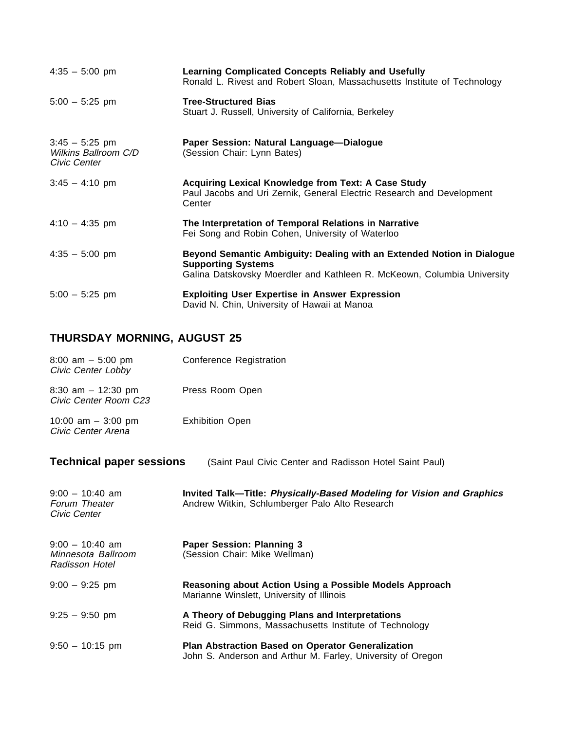| $4:35 - 5:00$ pm                                         | <b>Learning Complicated Concepts Reliably and Usefully</b><br>Ronald L. Rivest and Robert Sloan, Massachusetts Institute of Technology                                         |
|----------------------------------------------------------|--------------------------------------------------------------------------------------------------------------------------------------------------------------------------------|
| $5:00 - 5:25$ pm                                         | <b>Tree-Structured Bias</b><br>Stuart J. Russell, University of California, Berkeley                                                                                           |
| $3:45 - 5:25$ pm<br>Wilkins Ballroom C/D<br>Civic Center | Paper Session: Natural Language-Dialogue<br>(Session Chair: Lynn Bates)                                                                                                        |
| $3:45 - 4:10 \text{ pm}$                                 | Acquiring Lexical Knowledge from Text: A Case Study<br>Paul Jacobs and Uri Zernik, General Electric Research and Development<br>Center                                         |
| $4:10 - 4:35$ pm                                         | The Interpretation of Temporal Relations in Narrative<br>Fei Song and Robin Cohen, University of Waterloo                                                                      |
| $4:35 - 5:00$ pm                                         | Beyond Semantic Ambiguity: Dealing with an Extended Notion in Dialogue<br><b>Supporting Systems</b><br>Galina Datskovsky Moerdler and Kathleen R. McKeown, Columbia University |
| $5:00 - 5:25$ pm                                         | <b>Exploiting User Expertise in Answer Expression</b><br>David N. Chin, University of Hawaii at Manoa                                                                          |

## **THURSDAY MORNING, AUGUST 25**

| $8:00$ am $-5:00$ pm<br>Civic Center Lobby                                                 | Conference Registration                                                                                                 |  |
|--------------------------------------------------------------------------------------------|-------------------------------------------------------------------------------------------------------------------------|--|
| 8:30 am $-$ 12:30 pm<br>Civic Center Room C23                                              | Press Room Open                                                                                                         |  |
| 10:00 am $-$ 3:00 pm<br>Civic Center Arena                                                 | <b>Exhibition Open</b>                                                                                                  |  |
| <b>Technical paper sessions</b><br>(Saint Paul Civic Center and Radisson Hotel Saint Paul) |                                                                                                                         |  |
| $9:00 - 10:40$ am<br>Forum Theater<br>Civic Center                                         | Invited Talk-Title: Physically-Based Modeling for Vision and Graphics<br>Andrew Witkin, Schlumberger Palo Alto Research |  |
| $9:00 - 10:40$ am<br>Minnesota Ballroom<br>Radisson Hotel                                  | <b>Paper Session: Planning 3</b><br>(Session Chair: Mike Wellman)                                                       |  |
| $9:00 - 9:25$ pm                                                                           | Reasoning about Action Using a Possible Models Approach<br>Marianne Winslett, University of Illinois                    |  |
| $9:25 - 9:50$ pm                                                                           | A Theory of Debugging Plans and Interpretations<br>Reid G. Simmons, Massachusetts Institute of Technology               |  |
| $9:50 - 10:15$ pm                                                                          | Plan Abstraction Based on Operator Generalization<br>John S. Anderson and Arthur M. Farley, University of Oregon        |  |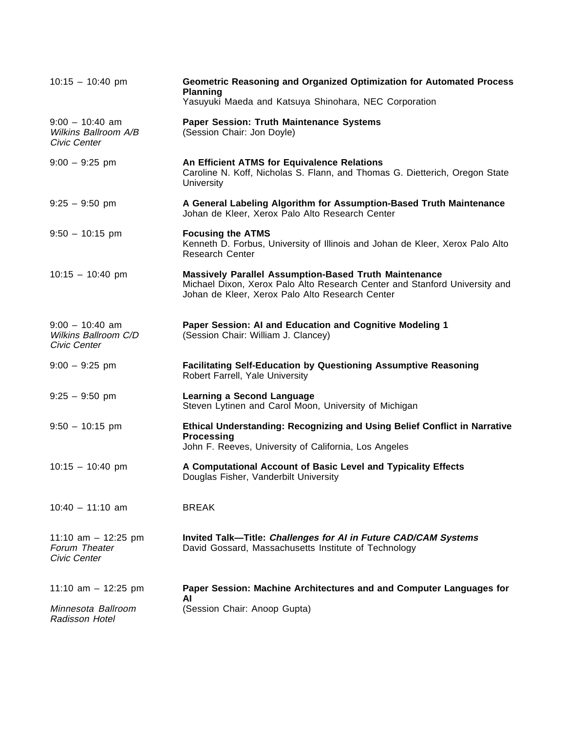| $10:15 - 10:40$ pm                                        | Geometric Reasoning and Organized Optimization for Automated Process<br><b>Planning</b><br>Yasuyuki Maeda and Katsuya Shinohara, NEC Corporation                                              |
|-----------------------------------------------------------|-----------------------------------------------------------------------------------------------------------------------------------------------------------------------------------------------|
| $9:00 - 10:40$ am<br>Wilkins Ballroom A/B<br>Civic Center | Paper Session: Truth Maintenance Systems<br>(Session Chair: Jon Doyle)                                                                                                                        |
| $9:00 - 9:25$ pm                                          | An Efficient ATMS for Equivalence Relations<br>Caroline N. Koff, Nicholas S. Flann, and Thomas G. Dietterich, Oregon State<br>University                                                      |
| $9:25 - 9:50$ pm                                          | A General Labeling Algorithm for Assumption-Based Truth Maintenance<br>Johan de Kleer, Xerox Palo Alto Research Center                                                                        |
| $9:50 - 10:15$ pm                                         | <b>Focusing the ATMS</b><br>Kenneth D. Forbus, University of Illinois and Johan de Kleer, Xerox Palo Alto<br><b>Research Center</b>                                                           |
| $10:15 - 10:40$ pm                                        | <b>Massively Parallel Assumption-Based Truth Maintenance</b><br>Michael Dixon, Xerox Palo Alto Research Center and Stanford University and<br>Johan de Kleer, Xerox Palo Alto Research Center |
| $9:00 - 10:40$ am<br>Wilkins Ballroom C/D<br>Civic Center | Paper Session: AI and Education and Cognitive Modeling 1<br>(Session Chair: William J. Clancey)                                                                                               |
| $9:00 - 9:25$ pm                                          | <b>Facilitating Self-Education by Questioning Assumptive Reasoning</b><br>Robert Farrell, Yale University                                                                                     |
| $9:25 - 9:50$ pm                                          | <b>Learning a Second Language</b><br>Steven Lytinen and Carol Moon, University of Michigan                                                                                                    |
| $9:50 - 10:15$ pm                                         | Ethical Understanding: Recognizing and Using Belief Conflict in Narrative<br><b>Processing</b><br>John F. Reeves, University of California, Los Angeles                                       |
| $10:15 - 10:40$ pm                                        | A Computational Account of Basic Level and Typicality Effects<br>Douglas Fisher, Vanderbilt University                                                                                        |
| $10:40 - 11:10$ am                                        | <b>BREAK</b>                                                                                                                                                                                  |
| 11:10 am $-$ 12:25 pm<br>Forum Theater<br>Civic Center    | Invited Talk-Title: Challenges for AI in Future CAD/CAM Systems<br>David Gossard, Massachusetts Institute of Technology                                                                       |
| 11:10 am $-$ 12:25 pm                                     | Paper Session: Machine Architectures and and Computer Languages for<br>ΑI                                                                                                                     |
| Minnesota Ballroom<br>Radisson Hotel                      | (Session Chair: Anoop Gupta)                                                                                                                                                                  |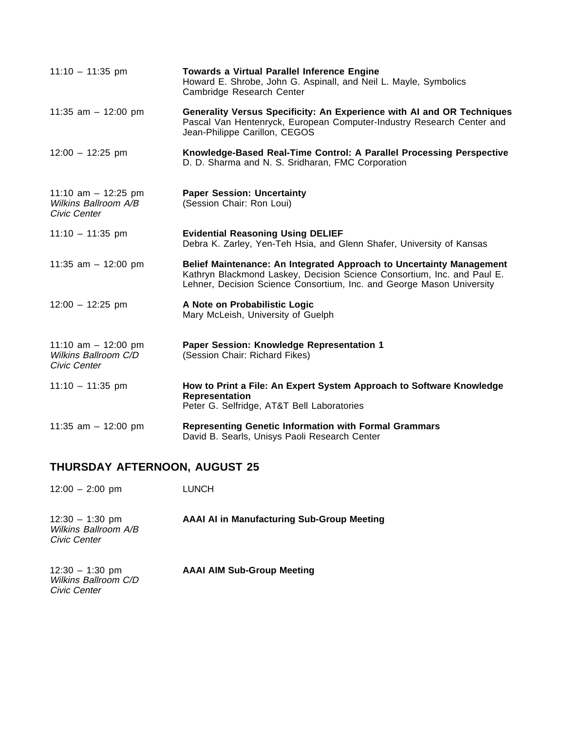| $11:10 - 11:35$ pm                                            | <b>Towards a Virtual Parallel Inference Engine</b><br>Howard E. Shrobe, John G. Aspinall, and Neil L. Mayle, Symbolics<br>Cambridge Research Center                                                                      |
|---------------------------------------------------------------|--------------------------------------------------------------------------------------------------------------------------------------------------------------------------------------------------------------------------|
| 11:35 am $-$ 12:00 pm                                         | Generality Versus Specificity: An Experience with AI and OR Techniques<br>Pascal Van Hentenryck, European Computer-Industry Research Center and<br>Jean-Philippe Carillon, CEGOS                                         |
| $12:00 - 12:25$ pm                                            | Knowledge-Based Real-Time Control: A Parallel Processing Perspective<br>D. D. Sharma and N. S. Sridharan, FMC Corporation                                                                                                |
| 11:10 am $-$ 12:25 pm<br>Wilkins Ballroom A/B<br>Civic Center | <b>Paper Session: Uncertainty</b><br>(Session Chair: Ron Loui)                                                                                                                                                           |
| $11:10 - 11:35$ pm                                            | <b>Evidential Reasoning Using DELIEF</b><br>Debra K. Zarley, Yen-Teh Hsia, and Glenn Shafer, University of Kansas                                                                                                        |
| 11:35 am $-$ 12:00 pm                                         | Belief Maintenance: An Integrated Approach to Uncertainty Management<br>Kathryn Blackmond Laskey, Decision Science Consortium, Inc. and Paul E.<br>Lehner, Decision Science Consortium, Inc. and George Mason University |
| $12:00 - 12:25$ pm                                            | A Note on Probabilistic Logic<br>Mary McLeish, University of Guelph                                                                                                                                                      |
| 11:10 am $-$ 12:00 pm<br>Wilkins Ballroom C/D<br>Civic Center | Paper Session: Knowledge Representation 1<br>(Session Chair: Richard Fikes)                                                                                                                                              |
| $11:10 - 11:35$ pm                                            | How to Print a File: An Expert System Approach to Software Knowledge<br>Representation<br>Peter G. Selfridge, AT&T Bell Laboratories                                                                                     |
| 11:35 am $-$ 12:00 pm                                         | <b>Representing Genetic Information with Formal Grammars</b><br>David B. Searls, Unisys Paoli Research Center                                                                                                            |

### **THURSDAY AFTERNOON, AUGUST 25**

12:00 – 2:00 pm LUNCH

12:30 – 1:30 pm **AAAI AI in Manufacturing Sub-Group Meeting** 12:30 - 1:30 pm<br>Wilkins Ballroom A/B Civic Center

**AAAI AIM Sub-Group Meeting** 12:30 - 1:30 pm<br>Wilkins Ballroom C/D Civic Center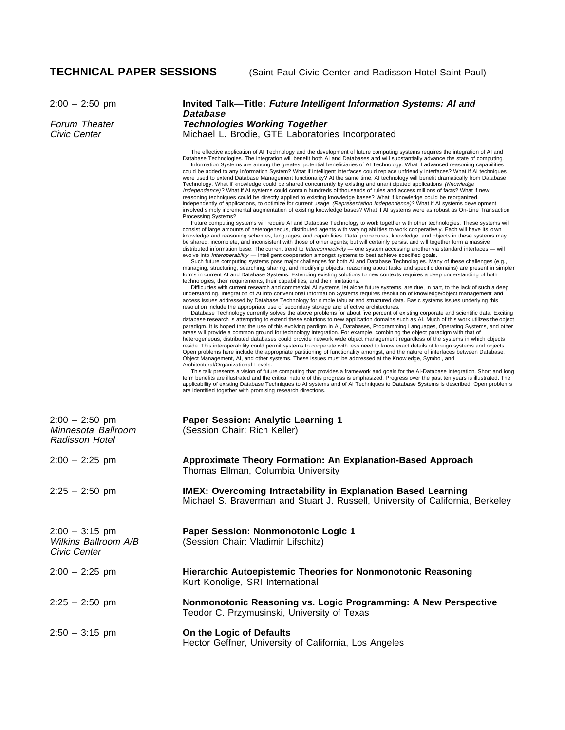### 2:00 – 2:50 pm **Invited Talk—Title: Future Intelligent Information Systems: AI and Database**

Forum Theater **Technologies Working Together** Civic Center **Michael L. Brodie, GTE Laboratories Incorporated** 

> The effective application of AI Technology and the development of future computing systems requires the integration of AI and<br>Database Technologies. The integration will benefit both AI and Databases and will substantially Information Systems are among the greatest potential beneficiaries of AI Technology. What if advanced reasoning capabilities could be added to any Information System? What if intelligent interfaces could replace unfriendly interfaces? What if AI techniques<br>were used to extend Database Management functionality? At the same time, AI technology wil Technology. What if knowledge could be shared concurrently by existing and unanticipated applications (Knowledge Independence) ? What if AI systems could contain hundreds of thousands of rules and access millions of facts? What if new reasoning techniques could be directly applied to existing knowledge bases? What if knowledge could be reorganized, independently of applications, to optimize for current usage (Representation Independence)? What if AI systems development involved simply incremental augmentation of existing knowledge bases? What if AI systems were as robust as On-Line Transaction

> Processing Systems? Future computing systems will require AI and Database Technology to work together with other technologies. These systems will consist of large amounts of heterogeneous, distributed agents with varying abilities to work cooperatively. Each will have its o wn knowledge and reasoning schemes, languages, and capabilities. Data, procedures, knowledge, and objects in these systems may be shared, incomplete, and inconsistent with those of other agents; but will certainly persist and will together form a massive distributed information base. The current trend to *Interconnectivity* — one system accessing another via standard interfaces — will<br>evolve into *Interoperability —* intelligent cooperation amongst systems to best achieve

Such future computing systems pose major challenges for both AI and Database Technologies. Many of these challenges (e.g., managing, structuring, searching, sharing, and modifying objects; reasoning about tasks and specific domains) are present in simple r forms in current AI and Database Systems. Extending existing solutions to new contexts requires a deep understanding of both technologies, their requirements, their capabilities, and their limitations.

Difficulties with current research and commercial AI systems, let alone future systems, are due, in part, to the lack of such a deep understanding. Integration of AI into conventional Information Systems requires resolution of knowledge/object management and<br>access issues addressed by Database Technology for simple tabular and structured data. Basic sys resolution include the appropriate use of secondary storage and effective architectures.

Database Technology currently solves the above problems for about five percent of existing corporate and scientific data. Exciting<br>database research is attempting to extend these solutions to new application domains such a paradigm. It is hoped that the use of this evolving pardigm in AI, Databases, Programming Languages, Operating Systems, and other areas will provide a common ground for technology integration. For example, combining the object paradigm with that of<br>heterogeneous, distributed databases could provide network wide object management regardless of the sys reside. This interoperability could permit systems to cooperate with less need to know exact details of foreign systems and objects. Open problems here include the appropriate partitioning of functionality amongst, and the nature of interfaces between Database,<br>Object Management, AI, and other systems. These issues must be addressed at the Knowledge, Sy Architectural/Organizational Levels.

This talk presents a vision of future computing that provides a framework and goals for the Al-Database Integration. Short and long<br>term benefits are illustrated and the critical nature of this progress is emphasized. Prog applicability of existing Database Techniques to AI systems and of AI Techniques to Database Systems is described. Open problems are identified together with promising research directions.

| $2:00 - 2:50$ pm<br>Minnesota Ballroom<br>Radisson Hotel | Paper Session: Analytic Learning 1<br>(Session Chair: Rich Keller)                                                                                     |
|----------------------------------------------------------|--------------------------------------------------------------------------------------------------------------------------------------------------------|
| $2:00 - 2:25$ pm                                         | <b>Approximate Theory Formation: An Explanation-Based Approach</b><br>Thomas Ellman, Columbia University                                               |
| $2:25 - 2:50$ pm                                         | <b>IMEX: Overcoming Intractability in Explanation Based Learning</b><br>Michael S. Braverman and Stuart J. Russell, University of California, Berkeley |
| $2:00 - 3:15$ pm<br>Wilkins Ballroom A/B<br>Civic Center | Paper Session: Nonmonotonic Logic 1<br>(Session Chair: Vladimir Lifschitz)                                                                             |
| $2:00 - 2:25$ pm                                         | Hierarchic Autoepistemic Theories for Nonmonotonic Reasoning<br>Kurt Konolige, SRI International                                                       |
| $2:25 - 2:50$ pm                                         | Nonmonotonic Reasoning vs. Logic Programming: A New Perspective<br>Teodor C. Przymusinski, University of Texas                                         |
| $2:50 - 3:15$ pm                                         | On the Logic of Defaults<br>Hector Geffner, University of California, Los Angeles                                                                      |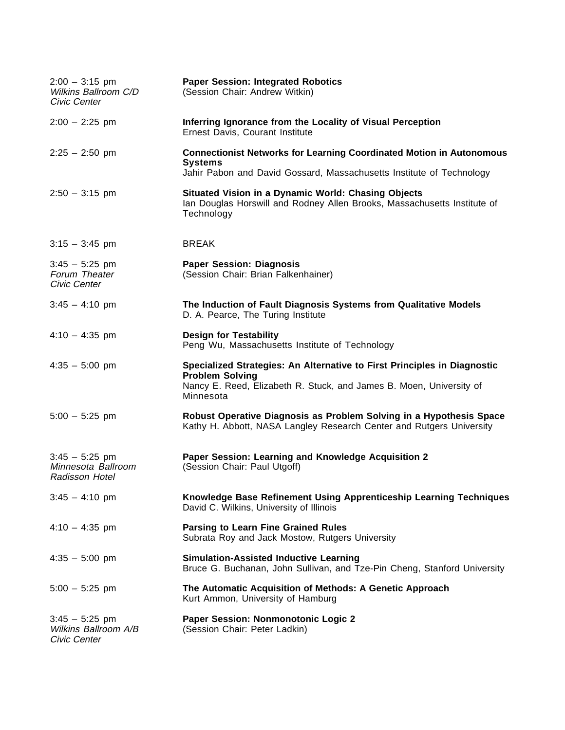| $2:00 - 3:15$ pm<br>Wilkins Ballroom C/D<br>Civic Center | <b>Paper Session: Integrated Robotics</b><br>(Session Chair: Andrew Witkin)                                                                                                            |
|----------------------------------------------------------|----------------------------------------------------------------------------------------------------------------------------------------------------------------------------------------|
| $2:00 - 2:25$ pm                                         | Inferring Ignorance from the Locality of Visual Perception<br>Ernest Davis, Courant Institute                                                                                          |
| $2:25 - 2:50$ pm                                         | <b>Connectionist Networks for Learning Coordinated Motion in Autonomous</b><br><b>Systems</b><br>Jahir Pabon and David Gossard, Massachusetts Institute of Technology                  |
| $2:50 - 3:15$ pm                                         | Situated Vision in a Dynamic World: Chasing Objects<br>Ian Douglas Horswill and Rodney Allen Brooks, Massachusetts Institute of<br>Technology                                          |
| $3:15 - 3:45$ pm                                         | <b>BREAK</b>                                                                                                                                                                           |
| $3:45 - 5:25$ pm<br>Forum Theater<br>Civic Center        | <b>Paper Session: Diagnosis</b><br>(Session Chair: Brian Falkenhainer)                                                                                                                 |
| $3:45 - 4:10$ pm                                         | The Induction of Fault Diagnosis Systems from Qualitative Models<br>D. A. Pearce, The Turing Institute                                                                                 |
| $4:10 - 4:35$ pm                                         | <b>Design for Testability</b><br>Peng Wu, Massachusetts Institute of Technology                                                                                                        |
| $4:35 - 5:00$ pm                                         | Specialized Strategies: An Alternative to First Principles in Diagnostic<br><b>Problem Solving</b><br>Nancy E. Reed, Elizabeth R. Stuck, and James B. Moen, University of<br>Minnesota |
| $5:00 - 5:25$ pm                                         | Robust Operative Diagnosis as Problem Solving in a Hypothesis Space<br>Kathy H. Abbott, NASA Langley Research Center and Rutgers University                                            |
| $3:45 - 5:25$ pm<br>Minnesota Ballroom<br>Radisson Hotel | Paper Session: Learning and Knowledge Acquisition 2<br>(Session Chair: Paul Utgoff)                                                                                                    |
| $3:45 - 4:10$ pm                                         | Knowledge Base Refinement Using Apprenticeship Learning Techniques<br>David C. Wilkins, University of Illinois                                                                         |
| $4:10 - 4:35$ pm                                         | <b>Parsing to Learn Fine Grained Rules</b><br>Subrata Roy and Jack Mostow, Rutgers University                                                                                          |
| $4:35 - 5:00$ pm                                         | <b>Simulation-Assisted Inductive Learning</b><br>Bruce G. Buchanan, John Sullivan, and Tze-Pin Cheng, Stanford University                                                              |
| $5:00 - 5:25$ pm                                         | The Automatic Acquisition of Methods: A Genetic Approach<br>Kurt Ammon, University of Hamburg                                                                                          |
| $3:45 - 5:25$ pm<br>Wilkins Ballroom A/B<br>Civic Center | Paper Session: Nonmonotonic Logic 2<br>(Session Chair: Peter Ladkin)                                                                                                                   |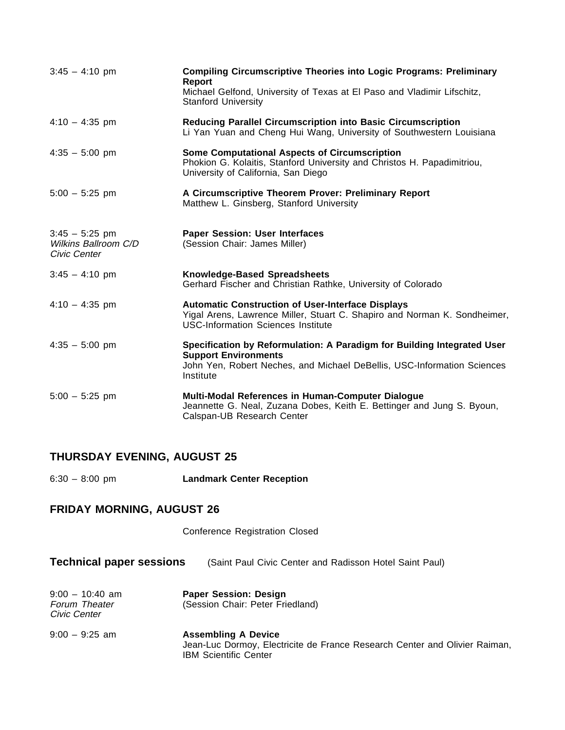| $3:45 - 4:10$ pm                                         | <b>Compiling Circumscriptive Theories into Logic Programs: Preliminary</b><br><b>Report</b><br>Michael Gelfond, University of Texas at El Paso and Vladimir Lifschitz,<br><b>Stanford University</b> |
|----------------------------------------------------------|------------------------------------------------------------------------------------------------------------------------------------------------------------------------------------------------------|
| $4:10 - 4:35$ pm                                         | Reducing Parallel Circumscription into Basic Circumscription<br>Li Yan Yuan and Cheng Hui Wang, University of Southwestern Louisiana                                                                 |
| $4:35 - 5:00$ pm                                         | <b>Some Computational Aspects of Circumscription</b><br>Phokion G. Kolaitis, Stanford University and Christos H. Papadimitriou,<br>University of California, San Diego                               |
| $5:00 - 5:25$ pm                                         | A Circumscriptive Theorem Prover: Preliminary Report<br>Matthew L. Ginsberg, Stanford University                                                                                                     |
| $3:45 - 5:25$ pm<br>Wilkins Ballroom C/D<br>Civic Center | <b>Paper Session: User Interfaces</b><br>(Session Chair: James Miller)                                                                                                                               |
| $3:45 - 4:10 \text{ pm}$                                 | <b>Knowledge-Based Spreadsheets</b><br>Gerhard Fischer and Christian Rathke, University of Colorado                                                                                                  |
| $4:10 - 4:35$ pm                                         | <b>Automatic Construction of User-Interface Displays</b><br>Yigal Arens, Lawrence Miller, Stuart C. Shapiro and Norman K. Sondheimer,<br><b>USC-Information Sciences Institute</b>                   |
| $4:35 - 5:00$ pm                                         | Specification by Reformulation: A Paradigm for Building Integrated User<br><b>Support Environments</b><br>John Yen, Robert Neches, and Michael DeBellis, USC-Information Sciences<br>Institute       |
| $5:00 - 5:25$ pm                                         | Multi-Modal References in Human-Computer Dialogue<br>Jeannette G. Neal, Zuzana Dobes, Keith E. Bettinger and Jung S. Byoun,<br>Calspan-UB Research Center                                            |

### **THURSDAY EVENING, AUGUST 25**

6:30 – 8:00 pm **Landmark Center Reception**

### **FRIDAY MORNING, AUGUST 26**

Conference Registration Closed

| <b>Technical paper sessions</b> | (Saint Paul Civic Center and Radisson Hotel Saint Paul) |
|---------------------------------|---------------------------------------------------------|
|---------------------------------|---------------------------------------------------------|

| $9:00 - 10:40$ am    | <b>Paper Session: Design</b>     |
|----------------------|----------------------------------|
| <b>Forum Theater</b> | (Session Chair: Peter Friedland) |
| Civic Center         |                                  |

9:00 – 9:25 am **Assembling A Device** Jean-Luc Dormoy, Electricite de France Research Center and Olivier Raiman, IBM Scientific Center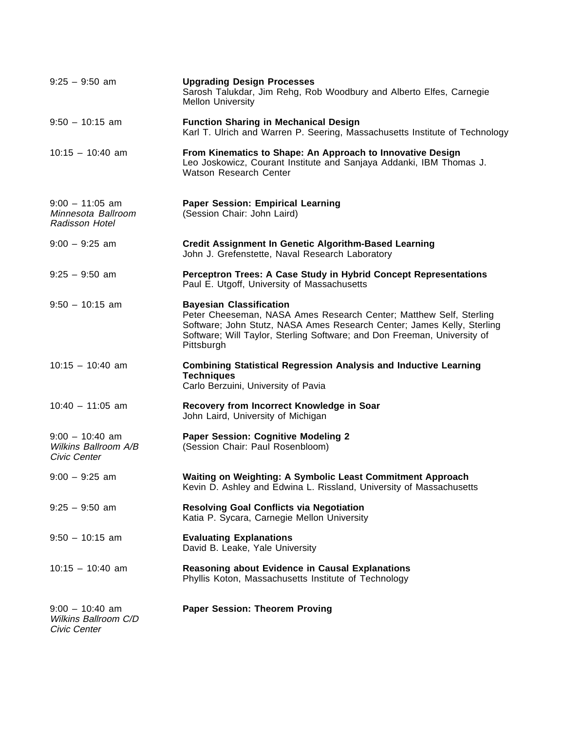| $9:25 - 9:50$ am                                          | <b>Upgrading Design Processes</b><br>Sarosh Talukdar, Jim Rehg, Rob Woodbury and Alberto Elfes, Carnegie<br><b>Mellon University</b>                                                                                                                                     |
|-----------------------------------------------------------|--------------------------------------------------------------------------------------------------------------------------------------------------------------------------------------------------------------------------------------------------------------------------|
| $9:50 - 10:15$ am                                         | <b>Function Sharing in Mechanical Design</b><br>Karl T. Ulrich and Warren P. Seering, Massachusetts Institute of Technology                                                                                                                                              |
| $10:15 - 10:40$ am                                        | From Kinematics to Shape: An Approach to Innovative Design<br>Leo Joskowicz, Courant Institute and Sanjaya Addanki, IBM Thomas J.<br>Watson Research Center                                                                                                              |
| $9:00 - 11:05$ am<br>Minnesota Ballroom<br>Radisson Hotel | <b>Paper Session: Empirical Learning</b><br>(Session Chair: John Laird)                                                                                                                                                                                                  |
| $9:00 - 9:25$ am                                          | <b>Credit Assignment In Genetic Algorithm-Based Learning</b><br>John J. Grefenstette, Naval Research Laboratory                                                                                                                                                          |
| $9:25 - 9:50$ am                                          | Perceptron Trees: A Case Study in Hybrid Concept Representations<br>Paul E. Utgoff, University of Massachusetts                                                                                                                                                          |
| $9:50 - 10:15$ am                                         | <b>Bayesian Classification</b><br>Peter Cheeseman, NASA Ames Research Center; Matthew Self, Sterling<br>Software; John Stutz, NASA Ames Research Center; James Kelly, Sterling<br>Software; Will Taylor, Sterling Software; and Don Freeman, University of<br>Pittsburgh |
| $10:15 - 10:40$ am                                        | <b>Combining Statistical Regression Analysis and Inductive Learning</b><br><b>Techniques</b><br>Carlo Berzuini, University of Pavia                                                                                                                                      |
| $10:40 - 11:05$ am                                        | Recovery from Incorrect Knowledge in Soar<br>John Laird, University of Michigan                                                                                                                                                                                          |
| $9:00 - 10:40$ am<br>Wilkins Ballroom A/B<br>Civic Center | <b>Paper Session: Cognitive Modeling 2</b><br>(Session Chair: Paul Rosenbloom)                                                                                                                                                                                           |
| $9:00 - 9:25$ am                                          | Waiting on Weighting: A Symbolic Least Commitment Approach<br>Kevin D. Ashley and Edwina L. Rissland, University of Massachusetts                                                                                                                                        |
| $9:25 - 9:50$ am                                          | <b>Resolving Goal Conflicts via Negotiation</b><br>Katia P. Sycara, Carnegie Mellon University                                                                                                                                                                           |
| $9:50 - 10:15$ am                                         | <b>Evaluating Explanations</b><br>David B. Leake, Yale University                                                                                                                                                                                                        |
| $10:15 - 10:40$ am                                        | <b>Reasoning about Evidence in Causal Explanations</b><br>Phyllis Koton, Massachusetts Institute of Technology                                                                                                                                                           |
| $9:00 - 10:40$ am<br>Wilkins Ballroom C/D<br>Civic Center | <b>Paper Session: Theorem Proving</b>                                                                                                                                                                                                                                    |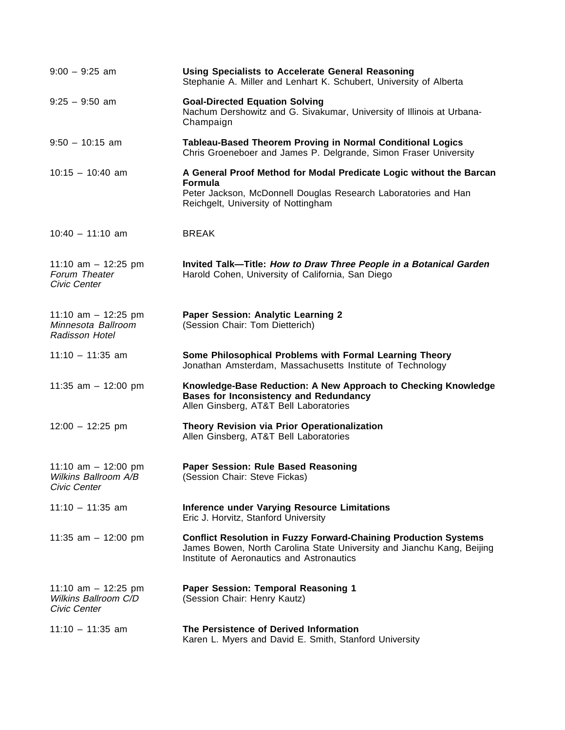| $9:00 - 9:25$ am                                              | <b>Using Specialists to Accelerate General Reasoning</b><br>Stephanie A. Miller and Lenhart K. Schubert, University of Alberta                                                                 |
|---------------------------------------------------------------|------------------------------------------------------------------------------------------------------------------------------------------------------------------------------------------------|
| $9:25 - 9:50$ am                                              | <b>Goal-Directed Equation Solving</b><br>Nachum Dershowitz and G. Sivakumar, University of Illinois at Urbana-<br>Champaign                                                                    |
| $9:50 - 10:15$ am                                             | Tableau-Based Theorem Proving in Normal Conditional Logics<br>Chris Groeneboer and James P. Delgrande, Simon Fraser University                                                                 |
| $10:15 - 10:40$ am                                            | A General Proof Method for Modal Predicate Logic without the Barcan<br><b>Formula</b><br>Peter Jackson, McDonnell Douglas Research Laboratories and Han<br>Reichgelt, University of Nottingham |
| $10:40 - 11:10$ am                                            | <b>BREAK</b>                                                                                                                                                                                   |
| 11:10 am $-$ 12:25 pm<br>Forum Theater<br>Civic Center        | Invited Talk-Title: How to Draw Three People in a Botanical Garden<br>Harold Cohen, University of California, San Diego                                                                        |
| 11:10 am $-$ 12:25 pm<br>Minnesota Ballroom<br>Radisson Hotel | Paper Session: Analytic Learning 2<br>(Session Chair: Tom Dietterich)                                                                                                                          |
| $11:10 - 11:35$ am                                            | Some Philosophical Problems with Formal Learning Theory<br>Jonathan Amsterdam, Massachusetts Institute of Technology                                                                           |
| 11:35 am $-$ 12:00 pm                                         | Knowledge-Base Reduction: A New Approach to Checking Knowledge<br><b>Bases for Inconsistency and Redundancy</b><br>Allen Ginsberg, AT&T Bell Laboratories                                      |
| $12:00 - 12:25$ pm                                            | Theory Revision via Prior Operationalization<br>Allen Ginsberg, AT&T Bell Laboratories                                                                                                         |
| 11:10 am $-$ 12:00 pm<br>Wilkins Ballroom A/B<br>Civic Center | Paper Session: Rule Based Reasoning<br>(Session Chair: Steve Fickas)                                                                                                                           |
| $11:10 - 11:35$ am                                            | <b>Inference under Varying Resource Limitations</b><br>Eric J. Horvitz, Stanford University                                                                                                    |
| 11:35 am $-$ 12:00 pm                                         | <b>Conflict Resolution in Fuzzy Forward-Chaining Production Systems</b><br>James Bowen, North Carolina State University and Jianchu Kang, Beijing<br>Institute of Aeronautics and Astronautics |
| 11:10 am $-$ 12:25 pm<br>Wilkins Ballroom C/D<br>Civic Center | Paper Session: Temporal Reasoning 1<br>(Session Chair: Henry Kautz)                                                                                                                            |
| $11:10 - 11:35$ am                                            | The Persistence of Derived Information<br>Karen L. Myers and David E. Smith, Stanford University                                                                                               |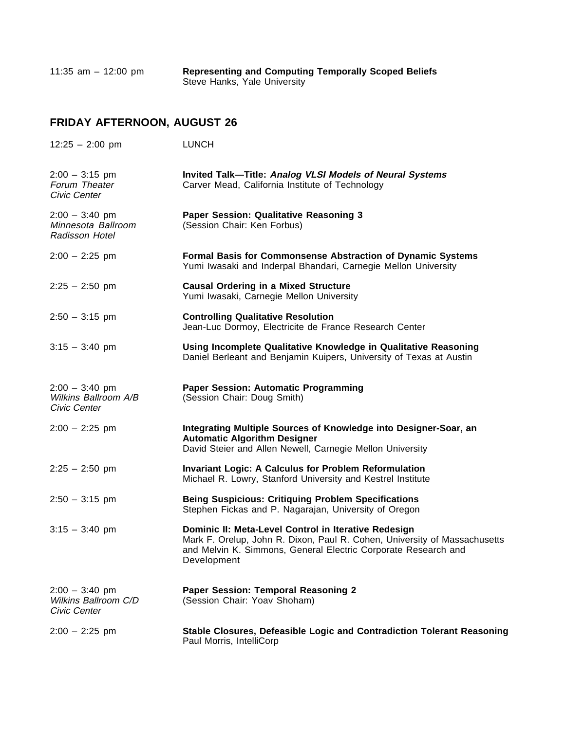11:35 am – 12:00 pm **Representing and Computing Temporally Scoped Beliefs** Steve Hanks, Yale University

## **FRIDAY AFTERNOON, AUGUST 26**

| $12:25 - 2:00$ pm                                        | <b>LUNCH</b>                                                                                                                                                                                                       |
|----------------------------------------------------------|--------------------------------------------------------------------------------------------------------------------------------------------------------------------------------------------------------------------|
| $2:00 - 3:15$ pm<br>Forum Theater<br>Civic Center        | Invited Talk-Title: Analog VLSI Models of Neural Systems<br>Carver Mead, California Institute of Technology                                                                                                        |
| $2:00 - 3:40$ pm<br>Minnesota Ballroom<br>Radisson Hotel | Paper Session: Qualitative Reasoning 3<br>(Session Chair: Ken Forbus)                                                                                                                                              |
| $2:00 - 2:25$ pm                                         | Formal Basis for Commonsense Abstraction of Dynamic Systems<br>Yumi Iwasaki and Inderpal Bhandari, Carnegie Mellon University                                                                                      |
| $2:25 - 2:50$ pm                                         | <b>Causal Ordering in a Mixed Structure</b><br>Yumi Iwasaki, Carnegie Mellon University                                                                                                                            |
| $2:50 - 3:15$ pm                                         | <b>Controlling Qualitative Resolution</b><br>Jean-Luc Dormoy, Electricite de France Research Center                                                                                                                |
| $3:15 - 3:40$ pm                                         | Using Incomplete Qualitative Knowledge in Qualitative Reasoning<br>Daniel Berleant and Benjamin Kuipers, University of Texas at Austin                                                                             |
| $2:00 - 3:40$ pm<br>Wilkins Ballroom A/B<br>Civic Center | <b>Paper Session: Automatic Programming</b><br>(Session Chair: Doug Smith)                                                                                                                                         |
| $2:00 - 2:25$ pm                                         | Integrating Multiple Sources of Knowledge into Designer-Soar, an<br><b>Automatic Algorithm Designer</b><br>David Steier and Allen Newell, Carnegie Mellon University                                               |
| $2:25 - 2:50$ pm                                         | <b>Invariant Logic: A Calculus for Problem Reformulation</b><br>Michael R. Lowry, Stanford University and Kestrel Institute                                                                                        |
| $2:50 - 3:15$ pm                                         | <b>Being Suspicious: Critiquing Problem Specifications</b><br>Stephen Fickas and P. Nagarajan, University of Oregon                                                                                                |
| $3:15 - 3:40$ pm                                         | Dominic II: Meta-Level Control in Iterative Redesign<br>Mark F. Orelup, John R. Dixon, Paul R. Cohen, University of Massachusetts<br>and Melvin K. Simmons, General Electric Corporate Research and<br>Development |
| $2:00 - 3:40$ pm<br>Wilkins Ballroom C/D<br>Civic Center | Paper Session: Temporal Reasoning 2<br>(Session Chair: Yoav Shoham)                                                                                                                                                |
| $2:00 - 2:25$ pm                                         | Stable Closures, Defeasible Logic and Contradiction Tolerant Reasoning<br>Paul Morris, IntelliCorp                                                                                                                 |